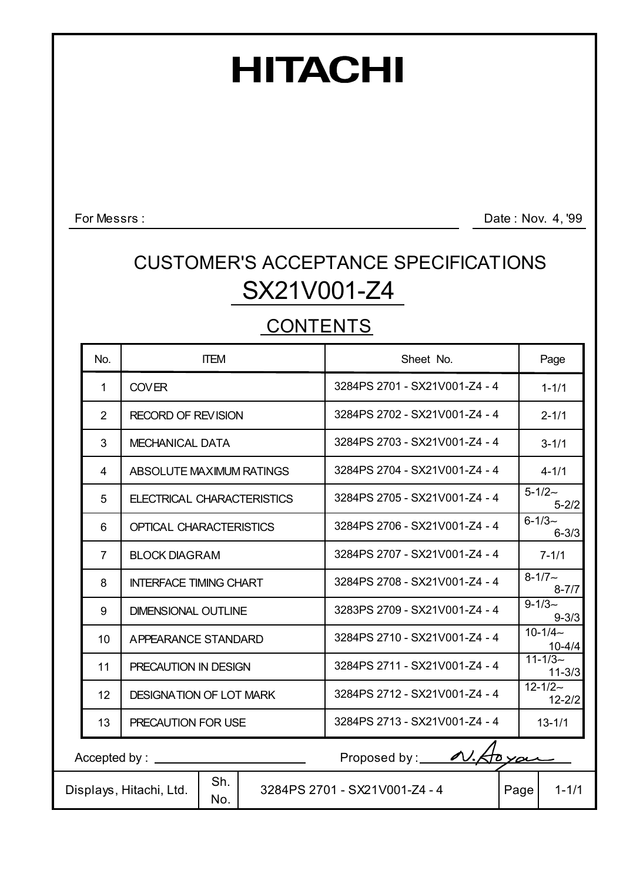# **HITACHI**

For Messrs :

Date: Nov. 4, '99

## SX21V001-Z4 CUSTOMER'S ACCEPTANCE SPECIFICATIONS

### **CONTENTS**

| No.                      | <b>ITEM</b>                           |  | Sheet No.                                                   |       | Page      |                            |  |
|--------------------------|---------------------------------------|--|-------------------------------------------------------------|-------|-----------|----------------------------|--|
| $\mathbf 1$              | <b>COVER</b>                          |  | 3284PS 2701 - SX21V001-Z4 - 4                               |       |           | $1 - 1/1$                  |  |
| $\overline{2}$           | <b>RECORD OF REVISION</b>             |  | 3284PS 2702 - SX21V001-Z4 - 4                               |       |           | $2 - 1/1$                  |  |
| 3                        | <b>MECHANICAL DATA</b>                |  | 3284PS 2703 - SX21V001-Z4 - 4                               |       |           | $3 - 1/1$                  |  |
| 4                        | ABSOLUTE MAXIMUM RATINGS              |  | 3284PS 2704 - SX21V001-Z4 - 4                               |       |           | $4 - 1/1$                  |  |
| 5                        | ELECTRICAL CHARACTERISTICS            |  | 3284PS 2705 - SX21V001-Z4 - 4                               |       |           | $5 - 1/2 -$<br>$5 - 2/2$   |  |
| 6                        | <b>OPTICAL CHARACTERISTICS</b>        |  | 3284PS 2706 - SX21V001-Z4 - 4                               |       |           | $6 - 1/3 -$<br>$6 - 3/3$   |  |
| $\overline{7}$           | <b>BLOCK DIAGRAM</b>                  |  | 3284PS 2707 - SX21V001-Z4 - 4                               |       | $7 - 1/1$ |                            |  |
| 8                        | <b>INTERFACE TIMING CHART</b>         |  | 3284PS 2708 - SX21V001-Z4 - 4                               |       |           | $8 - 1/7$ ~<br>$8 - 7/7$   |  |
| 9                        | <b>DIMENSIONAL OUTLINE</b>            |  | 3283PS 2709 - SX21V001-Z4 - 4                               |       |           | $9 - 1/3$<br>$9 - 3/3$     |  |
| 10                       | APPEARANCE STANDARD                   |  | 3284PS 2710 - SX21V001-Z4 - 4                               |       |           | $10 - 1/4 -$<br>$10 - 4/4$ |  |
| 11                       | PRECAUTION IN DESIGN                  |  | 3284PS 2711 - SX21V001-Z4 - 4                               |       |           | $11 - 1/3$<br>$11 - 3/3$   |  |
| 12                       | <b>DESIGNATION OF LOT MARK</b>        |  | 3284PS 2712 - SX21V001-Z4 - 4                               |       |           | $12 - 1/2 -$<br>$12 - 2/2$ |  |
| 13<br>PRECAUTION FOR USE |                                       |  | 3284PS 2713 - SX21V001-Z4 - 4                               |       |           | $13 - 1/1$                 |  |
|                          | $Accepted by: \_\_$                   |  | Proposed by: $\overline{\mathscr{A}}\mathscr{A}\mathscr{A}$ | toxan |           |                            |  |
|                          | Sh.<br>Displays, Hitachi, Ltd.<br>No. |  | 3284PS 2701 - SX21V001-Z4 - 4                               | Page  |           | $1 - 1/1$                  |  |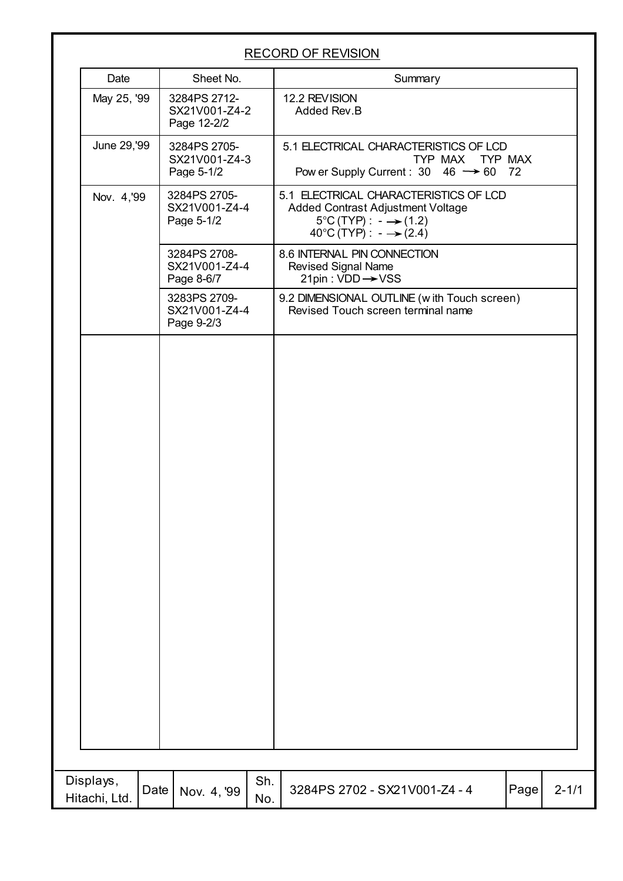|                            |      |                                              |            | <b>RECORD OF REVISION</b>                                                                                                                                     |      |           |
|----------------------------|------|----------------------------------------------|------------|---------------------------------------------------------------------------------------------------------------------------------------------------------------|------|-----------|
| Date                       |      | Sheet No.                                    |            | Summary                                                                                                                                                       |      |           |
| May 25, '99                |      | 3284PS 2712-<br>SX21V001-Z4-2<br>Page 12-2/2 |            | 12.2 REVISION<br>Added Rev.B                                                                                                                                  |      |           |
| June 29,'99                |      | 3284PS 2705-<br>SX21V001-Z4-3<br>Page 5-1/2  |            | 5.1 ELECTRICAL CHARACTERISTICS OF LCD<br>TYP MAX TYP MAX<br>Pow er Supply Current : $30 \quad 46 \rightarrow 60 \quad 72$                                     |      |           |
| Nov. 4,'99                 |      | 3284PS 2705-<br>SX21V001-Z4-4<br>Page 5-1/2  |            | 5.1 ELECTRICAL CHARACTERISTICS OF LCD<br>Added Contrast Adjustment Voltage<br>$5^{\circ}$ C (TYP) : $-\rightarrow$ (1.2)<br>40°C (TYP) : $ \rightarrow$ (2.4) |      |           |
|                            |      | 3284PS 2708-<br>SX21V001-Z4-4<br>Page 8-6/7  |            | 8.6 INTERNAL PIN CONNECTION<br><b>Revised Signal Name</b><br>21pin : VDD → VSS                                                                                |      |           |
|                            |      | 3283PS 2709-<br>SX21V001-Z4-4<br>Page 9-2/3  |            | 9.2 DIMENSIONAL OUTLINE (with Touch screen)<br>Revised Touch screen terminal name                                                                             |      |           |
|                            |      |                                              |            |                                                                                                                                                               |      |           |
|                            |      |                                              |            |                                                                                                                                                               |      |           |
|                            |      |                                              |            |                                                                                                                                                               |      |           |
| Displays,<br>Hitachi, Ltd. | Date | Nov. 4, '99                                  | Sh.<br>No. | 3284PS 2702 - SX21V001-Z4 - 4                                                                                                                                 | Page | $2 - 1/1$ |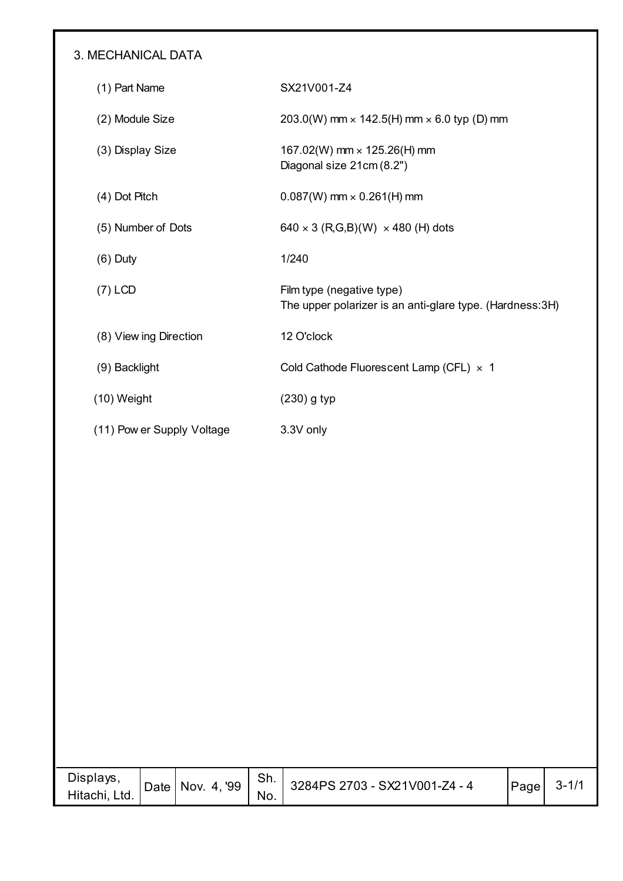#### 3. MECHANICAL DATA

| (1) Part Name              | SX21V001-Z4                                                                            |
|----------------------------|----------------------------------------------------------------------------------------|
| (2) Module Size            | 203.0(W) mm $\times$ 142.5(H) mm $\times$ 6.0 typ (D) mm                               |
| (3) Display Size           | 167.02(W) mm $\times$ 125.26(H) mm<br>Diagonal size 21cm (8.2")                        |
| (4) Dot Pitch              | $0.087(W)$ mm $\times$ 0.261(H) mm                                                     |
| (5) Number of Dots         | $640 \times 3$ (R,G,B)(W) $\times$ 480 (H) dots                                        |
| $(6)$ Duty                 | 1/240                                                                                  |
| $(7)$ LCD                  | Film type (negative type)<br>The upper polarizer is an anti-glare type. (Hardness: 3H) |
| (8) View ing Direction     | 12 O'clock                                                                             |
| (9) Backlight              | Cold Cathode Fluorescent Lamp (CFL) × 1                                                |
| $(10)$ Weight              | $(230)$ g typ                                                                          |
| (11) Pow er Supply Voltage | 3.3V only                                                                              |

| Displays,<br>Hitachi, Ltd. | Date | Nov. 4, '99 | Sh.<br>No. | 3284PS 2703 - SX21V001-Z4 - 4 | Page | $3 - 1/1$ |
|----------------------------|------|-------------|------------|-------------------------------|------|-----------|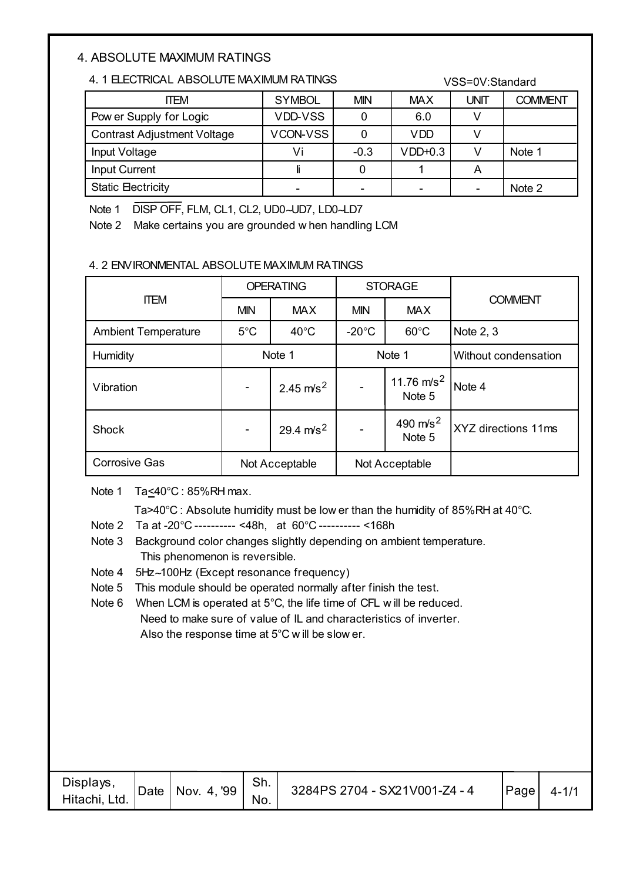#### 4. ABSOLUTE MAXIMUM RATINGS

#### 4. 1 ELECTRICAL ABSOLUTE MAXIMUM RATINGS

| 4. 1 ELECTRICAL ABSOLUTE MAXIMUM RATINGS |               | VSS=0V:Standard |            |      |                |  |
|------------------------------------------|---------------|-----------------|------------|------|----------------|--|
| <b>ITEM</b>                              | <b>SYMBOL</b> | <b>MIN</b>      | <b>MAX</b> | UNIT | <b>COMMENT</b> |  |
| Pow er Supply for Logic                  | VDD-VSS       | 0               | 6.0        |      |                |  |
| <b>Contrast Adjustment Voltage</b>       | VCON-VSS      | 0               | <b>VDD</b> |      |                |  |
| Input Voltage                            | Vi            | $-0.3$          | $VDD+0.3$  | V    | Note 1         |  |
| <b>Input Current</b>                     |               |                 |            | A    |                |  |
| <b>Static Electricity</b>                |               |                 |            |      | Note 2         |  |

Note 1 DISP OFF, FLM, CL1, CL2, UD0∼UD7, LD0∼LD7

Note 2 Make certains you are grounded w hen handling LCM

#### 4. 2 ENVIRONMENTAL ABSOLUTE MAXIMUM RATINGS

|                            |                                          | <b>OPERATING</b> |                                   | <b>STORAGE</b>          |                      |  |
|----------------------------|------------------------------------------|------------------|-----------------------------------|-------------------------|----------------------|--|
| <b>ITEM</b>                | <b>MAX</b><br><b>MIN</b>                 |                  | <b>MAX</b><br><b>MIN</b>          |                         | <b>COMMENT</b>       |  |
| <b>Ambient Temperature</b> | $5^{\circ}$ C                            | $40^{\circ}$ C   | $-20^{\circ}$ C<br>$60^{\circ}$ C |                         | Note 2, 3            |  |
| Humidity                   | Note 1                                   |                  | Note 1                            |                         | Without condensation |  |
| Vibration                  | 2.45 $m/s^2$<br>-                        |                  |                                   | 11.76 $m/s^2$<br>Note 5 | Note 4               |  |
| Shock                      | 29.4 $m/s^2$<br>$\overline{\phantom{a}}$ |                  |                                   | 490 $m/s^2$<br>Note 5   | XYZ directions 11ms  |  |
| <b>Corrosive Gas</b>       | Not Acceptable                           |                  | Not Acceptable                    |                         |                      |  |

Note 1 Ta<40°C : 85%RH max.

Ta>40°C : Absolute humidity must be low er than the humidity of 85%RH at 40°C.

- Note 2 Ta at -20°C ---------- <48h, at 60°C ---------- <168h
- Note 3 Background color changes slightly depending on ambient temperature. This phenomenon is reversible.
- Note 4 5Hz∼100Hz (Except resonance frequency)
- Note 5 This module should be operated normally after finish the test.
- Note 6 When LCM is operated at 5°C, the life time of CFL will be reduced. Need to make sure of value of IL and characteristics of inverter. Also the response time at 5°C w ill be slow er.

| Displays,<br>Hitachi, Ltd. | Date   Nov. 4, '99 | Sh.<br>No. | 3284PS 2704 - SX21V001-Z4 - 4 | Page | $4 - 1/2$ |
|----------------------------|--------------------|------------|-------------------------------|------|-----------|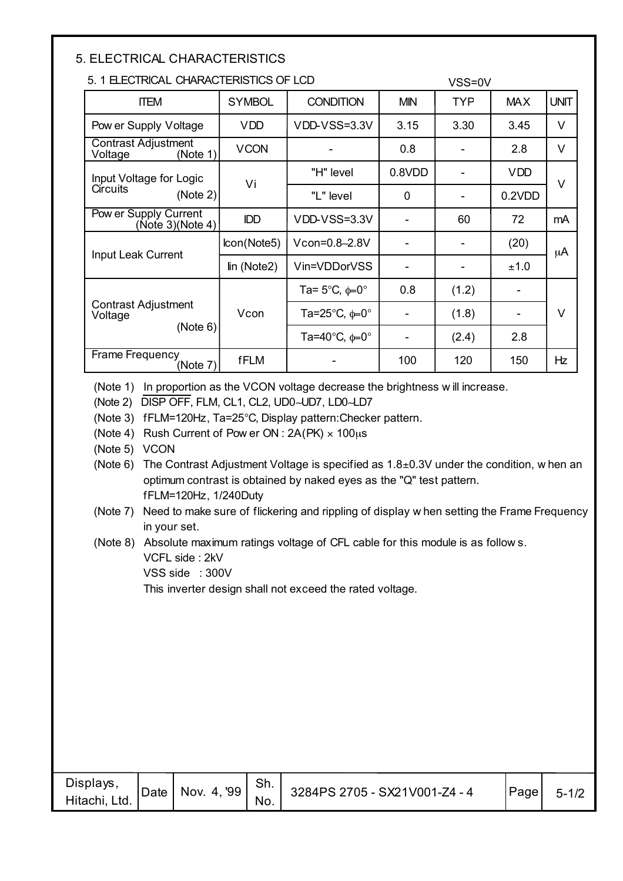#### 5. ELECTRICAL CHARACTERISTICS

#### 5. 1 ELECTRICAL CHARACTERISTICS OF LCD

| 5. 1 ELECTRICAL CHARACTERISTICS OF LCD            |               |                                          | VSS=0V     |            |            |             |
|---------------------------------------------------|---------------|------------------------------------------|------------|------------|------------|-------------|
| <b>ITEM</b>                                       | <b>SYMBOL</b> | <b>CONDITION</b>                         | <b>MIN</b> | <b>TYP</b> | <b>MAX</b> | <b>UNIT</b> |
| Pow er Supply Voltage                             | <b>VDD</b>    | VDD-VSS=3.3V                             | 3.15       | 3.30       | 3.45       | V           |
| <b>Contrast Adjustment</b><br>Voltage<br>(Note 1) | <b>VCON</b>   |                                          | 0.8        |            | 2.8        | V           |
| Input Voltage for Logic                           |               | "H" level                                | 0.8VDD     |            | <b>VDD</b> | $\vee$      |
| <b>Circuits</b><br>(Note 2)                       | Vi            | "L" level                                | 0          |            | 0.2VDD     |             |
| Pow er Supply Current<br>(Note 3)(Note 4)         | <b>IDD</b>    | VDD-VSS=3.3V                             |            | 60         | 72         | mA          |
| Input Leak Current                                | lcon(Note5)   | Vcon=0.8~2.8V                            |            |            | (20)       | μA          |
|                                                   | lin (Note2)   | Vin=VDDorVSS                             |            |            | ±1.0       |             |
|                                                   |               | Ta= $5^{\circ}$ C, $\phi$ =0 $^{\circ}$  | 0.8        | (1.2)      |            |             |
| <b>Contrast Adjustment</b><br>Voltage             | Vcon          | Ta=25 $^{\circ}$ C, $\phi$ =0 $^{\circ}$ |            | (1.8)      |            | V           |
| (Note 6)                                          |               | Ta=40 $^{\circ}$ C, $\phi$ =0 $^{\circ}$ |            | (2.4)      | 2.8        |             |
| Frame Frequency<br>(Note 7)                       | <b>fFLM</b>   |                                          | 100        | 120        | 150        | Hz          |

(Note 1) In proportion as the VCON voltage decrease the brightness w ill increase.

(Note 2) DISP OFF, FLM, CL1, CL2, UD0∼UD7, LD0∼LD7

(Note 3) fFLM=120Hz, Ta=25°C, Display pattern:Checker pattern.

(Note 4) Rush Current of Pow er ON :  $2A(PK) \times 100 \mu s$ 

(Note 5) VCON

(Note 6) The Contrast Adjustment Voltage is specified as  $1.8\pm0.3$ V under the condition, w hen an optimum contrast is obtained by naked eyes as the "Q" test pattern. fFLM=120Hz, 1/240Duty

(Note 7) Need to make sure of flickering and rippling of display w hen setting the Frame Frequency in your set.

(Note 8) Absolute maximum ratings voltage of CFL cable for this module is as follow s.

VCFL side : 2kV

VSS side : 300V

This inverter design shall not exceed the rated voltage.

| Displays,<br>Hitachi, Ltd. | Date | Nov. 4, '99 | Sh.<br>No. | 3284PS 2705 - SX21V001-Z4 - 4 | Page | $5 - 1/2$ |
|----------------------------|------|-------------|------------|-------------------------------|------|-----------|
|----------------------------|------|-------------|------------|-------------------------------|------|-----------|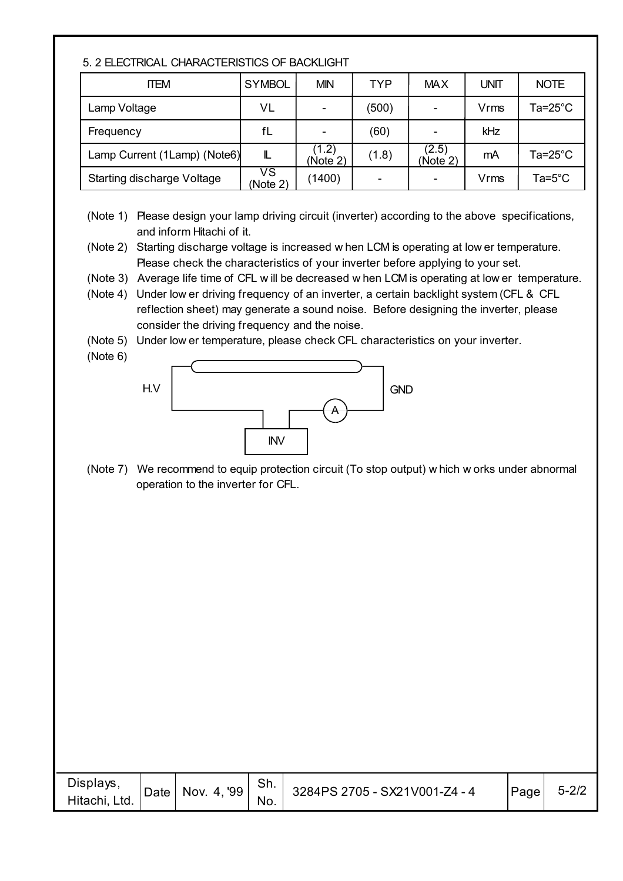|  |  |  | 5. 2 ELECTRICAL CHARACTERISTICS OF BACKLIGHT |
|--|--|--|----------------------------------------------|
|--|--|--|----------------------------------------------|

| <b>ITEM</b>                  | <b>SYMBOL</b>                        | <b>MIN</b>        | <b>TYP</b> | <b>MAX</b>               | UNIT | <b>NOTE</b>     |
|------------------------------|--------------------------------------|-------------------|------------|--------------------------|------|-----------------|
| Lamp Voltage                 | VL                                   |                   | (500)      | $\overline{\phantom{a}}$ | Vrms | Ta=25°C         |
| Frequency                    | fL                                   |                   | (60)       | $\overline{\phantom{0}}$ | kHz  |                 |
| Lamp Current (1Lamp) (Note6) | L                                    | (1.2)<br>(Note 2) | (1.8)      | (2.5)<br>(Note 2)        | mA   | Ta=25°C         |
| Starting discharge Voltage   | $\overline{\mathsf{VS}}$<br>(Note 2) | (1400)            | ۰          | ٠                        | Vrms | $Ta=5^{\circ}C$ |

- (Note 1) Please design your lamp driving circuit (inverter) according to the above specifications, and inform Hitachi of it.
- (Note 2) Starting discharge voltage is increased w hen LCM is operating at low er temperature. Please check the characteristics of your inverter before applying to your set.
- (Note 3) Average life time of CFL w ill be decreased w hen LCM is operating at low er temperature.
- (Note 4) Under low er driving frequency of an inverter, a certain backlight system (CFL & CFL reflection sheet) may generate a sound noise. Before designing the inverter, please consider the driving frequency and the noise.
- (Note 5) Under low er temperature, please check CFL characteristics on your inverter.
- (Note 6)



(Note 7) We recommend to equip protection circuit (To stop output) w hich w orks under abnormal operation to the inverter for CFL.

| Displays,<br>Hitachi, Ltd. | Date | '99<br>Nov.<br>4. ' | Sh.<br>No. | 3284PS 2705 - SX21V001-Z4 - 4 | Page | $5 - 2/2$ |
|----------------------------|------|---------------------|------------|-------------------------------|------|-----------|
|----------------------------|------|---------------------|------------|-------------------------------|------|-----------|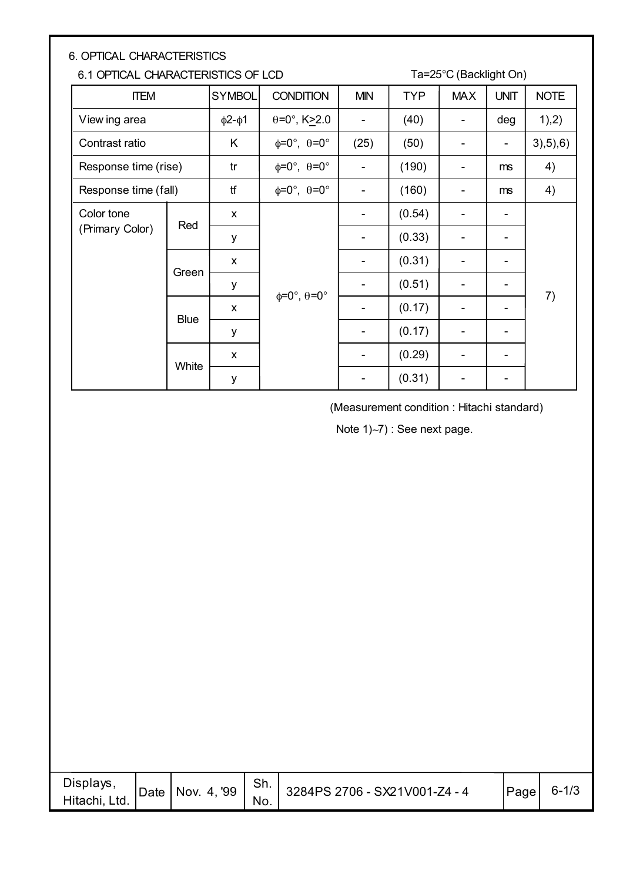| <b>6. OPTICAL CHARACTERISTICS</b>  |             |                    |                                       |            |            |            |                |             |  |  |
|------------------------------------|-------------|--------------------|---------------------------------------|------------|------------|------------|----------------|-------------|--|--|
| 6.1 OPTICAL CHARACTERISTICS OF LCD |             |                    | Ta=25°C (Backlight On)                |            |            |            |                |             |  |  |
| <b>ITEM</b>                        |             | <b>SYMBOL</b>      | <b>CONDITION</b>                      | <b>MIN</b> | <b>TYP</b> | <b>MAX</b> | <b>UNIT</b>    | <b>NOTE</b> |  |  |
| View ing area                      |             | $\phi$ 2- $\phi$ 1 | $\theta = 0^\circ$ , K $\geq 2.0$     |            | (40)       |            | deg            | 1,2)        |  |  |
| Contrast ratio                     |             | K                  | $\phi = 0^\circ$ , $\theta = 0^\circ$ | (25)       | (50)       |            |                | 3), 5), 6)  |  |  |
| Response time (rise)               |             | tr                 | $\phi = 0^\circ$ , $\theta = 0^\circ$ |            | (190)      |            | ms             | 4)          |  |  |
| Response time (fall)               |             | tf                 | $\phi = 0^\circ$ , $\theta = 0^\circ$ |            | (160)      |            | m <sub>s</sub> | 4)          |  |  |
| Color tone                         |             | X                  |                                       |            | (0.54)     |            | ۰              |             |  |  |
| (Primary Color)                    | Red         | у                  |                                       |            | (0.33)     |            |                |             |  |  |
|                                    | Green       | X                  |                                       |            | (0.31)     |            |                |             |  |  |
|                                    |             | У                  |                                       |            | (0.51)     |            |                |             |  |  |
|                                    | <b>Blue</b> | X                  | $\phi = 0^\circ$ , $\theta = 0^\circ$ |            | (0.17)     |            |                | 7)          |  |  |
|                                    |             | У                  |                                       |            | (0.17)     |            |                |             |  |  |
|                                    | White       | X                  |                                       |            | (0.29)     |            |                |             |  |  |
|                                    |             | y                  |                                       |            | (0.31)     |            |                |             |  |  |

(Measurement condition : Hitachi standard)

Note 1)∼7) : See next page.

| Displays,<br>Nov. 4, '99<br>Date  <br>Hitachi, Ltd. | .ווט<br>No. | 3284PS 2706 - SX21V001-Z4 - 4 | Page | $6 - 1/3$ |
|-----------------------------------------------------|-------------|-------------------------------|------|-----------|
|-----------------------------------------------------|-------------|-------------------------------|------|-----------|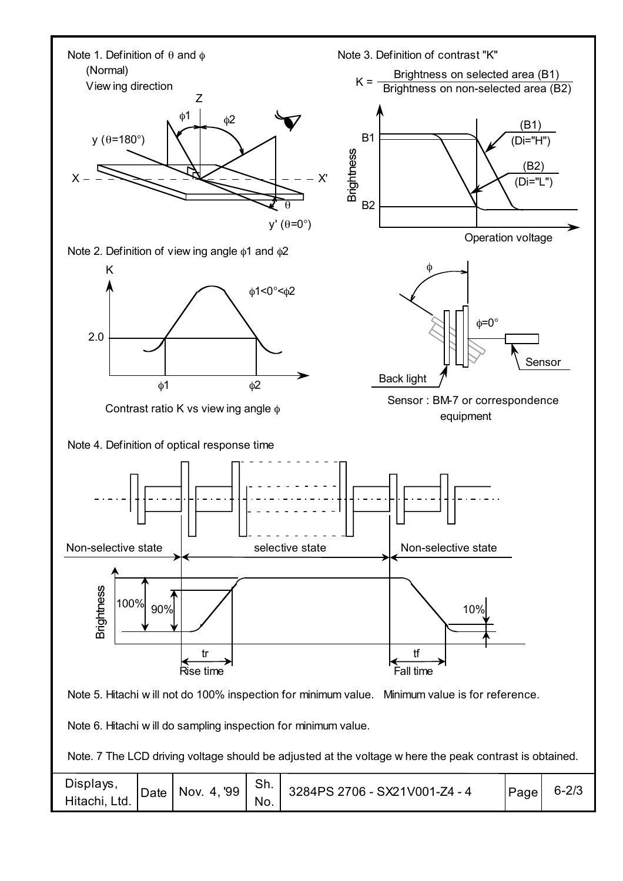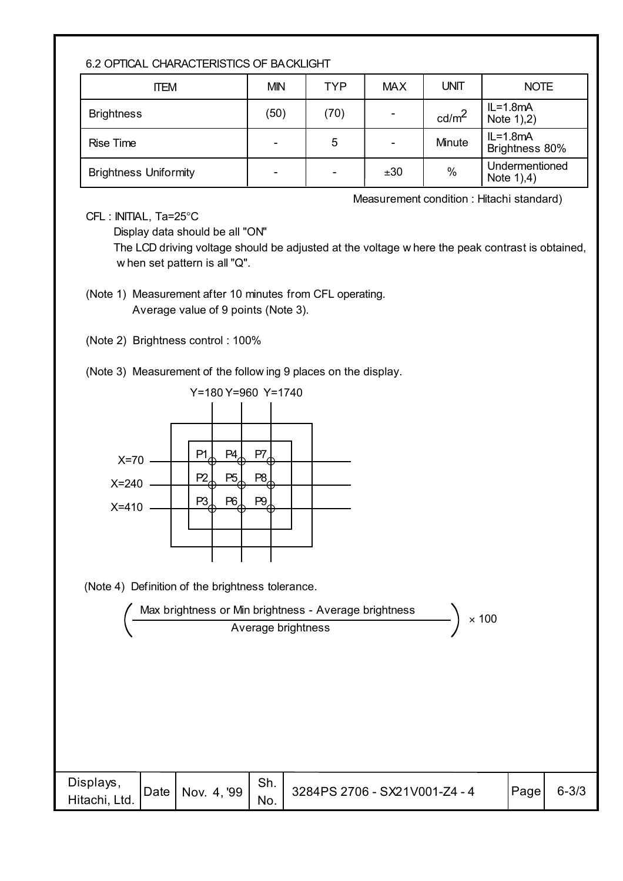#### 6.2 OPTICAL CHARACTERISTICS OF BACKLIGHT

| <b>ITEM</b>                  | <b>MIN</b>               | TYP  | <b>MAX</b> | <b>UNIT</b>       | <b>NOTE</b>                   |
|------------------------------|--------------------------|------|------------|-------------------|-------------------------------|
| <b>Brightness</b>            | (50)                     | (70) |            | cd/m <sup>2</sup> | $IL = 1.8mA$<br>Note $1,2)$   |
| <b>Rise Time</b>             | $\overline{\phantom{0}}$ | 5    |            | Minute            | $IL=1.8mA$<br>Brightness 80%  |
| <b>Brightness Uniformity</b> | -                        |      | ±30        | $\%$              | Undermentioned<br>Note $1,4)$ |

Measurement condition : Hitachi standard)

CFL : INITIAL, Ta=25°C

Display data should be all "ON"

 The LCD driving voltage should be adjusted at the voltage w here the peak contrast is obtained, w hen set pattern is all "Q".

(Note 1) Measurement after 10 minutes from CFL operating. Average value of 9 points (Note 3).

(Note 2) Brightness control : 100%

(Note 3) Measurement of the follow ing 9 places on the display.



(Note 4) Definition of the brightness tolerance.



| Displays,<br>Hitachi, Ltd. | Date   Nov. 4, '99 | Sh.<br>No. | 3284PS 2706 - SX21V001-Z4 - 4 | Page | $6 - 3/3$ |
|----------------------------|--------------------|------------|-------------------------------|------|-----------|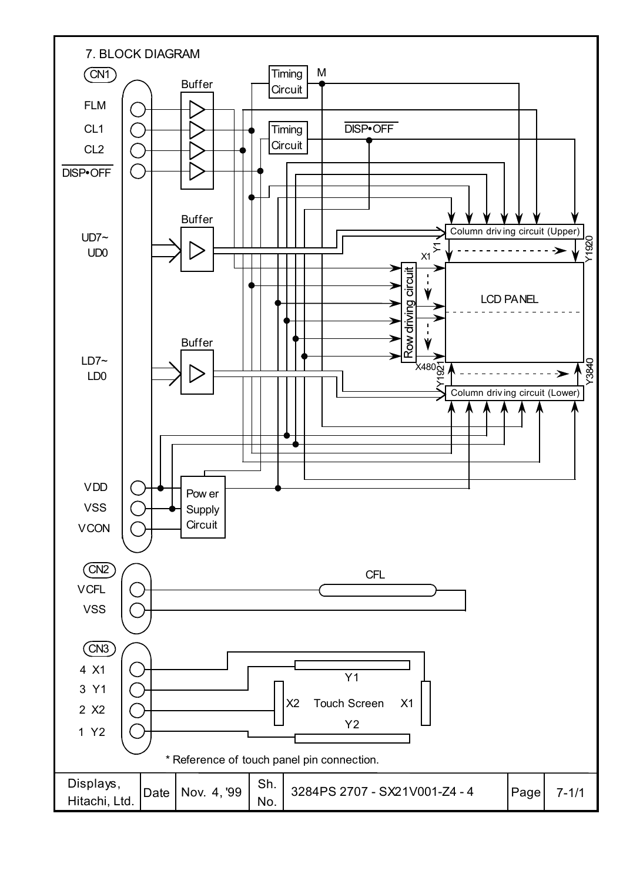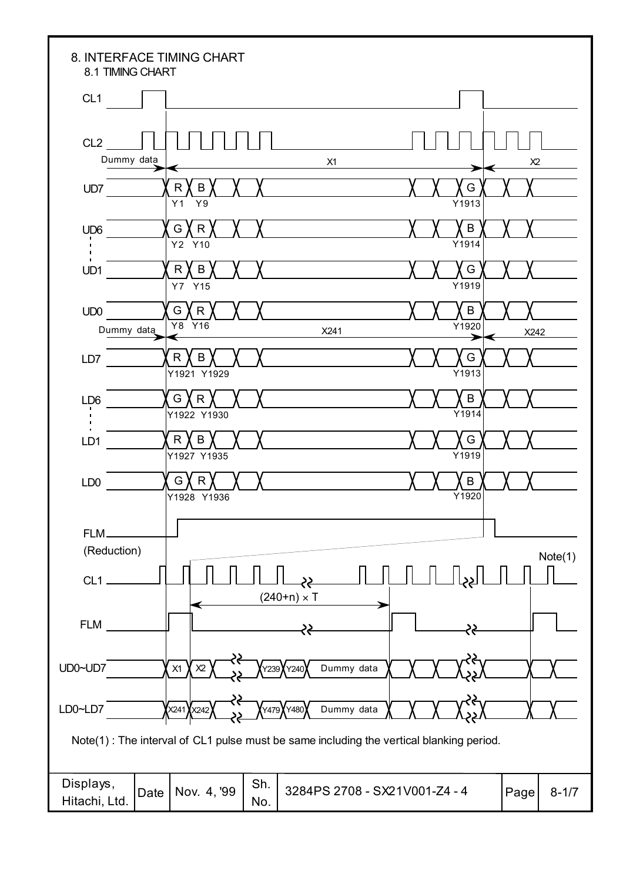| 8.1 TIMING CHART                  | 8. INTERFACE TIMING CHART                                                               |                          |
|-----------------------------------|-----------------------------------------------------------------------------------------|--------------------------|
| CL <sub>1</sub>                   |                                                                                         |                          |
| CL <sub>2</sub><br>Dummy data     | X1                                                                                      | X <sub>2</sub>           |
| UD7                               | $\mathsf R$<br>B<br>Y9<br>Y1                                                            | G<br>Y1913               |
| UD <sub>6</sub><br>$\blacksquare$ | G<br>R<br>Y2 Y10                                                                        | B<br>Y1914               |
| $\blacksquare$<br>UD1             | R<br>B<br>Y7 Y15                                                                        | G<br>Y1919               |
| UD <sub>0</sub><br>Dummy data     | G<br>R<br>Y8<br>Y16<br>X241                                                             | B<br>Y1920               |
| LD7                               | R<br>B<br>Y1921 Y1929                                                                   | X242<br>∍<br>G<br>Y1913  |
| LD <sub>6</sub>                   | G<br>R<br>Y1922 Y1930                                                                   | B<br>$\overline{Y}$ 1914 |
| LD1                               | R<br>B<br>Y1927 Y1935                                                                   | G<br>Y1919               |
| LD <sub>0</sub>                   | G<br>к<br>Y1928 Y1936                                                                   | B<br>Y1920               |
| FLM-<br>(Reduction)               |                                                                                         |                          |
| $CL1$ .                           | $(240+n) \times T$                                                                      | Note(1)                  |
| <b>FLM</b>                        | 33                                                                                      |                          |
| UD0~UD7                           | Dummy data<br>X1<br>X <sub>2</sub><br>Y239                                              |                          |
| LD0~LD7                           | 8<br>Dummy data<br>X241 XX242<br>Y480<br>Y479)                                          |                          |
|                                   | Note(1): The interval of CL1 pulse must be same including the vertical blanking period. |                          |
| Displays,<br>Hitachi, Ltd.        | Sh.<br>Nov. 4, '99<br>3284PS 2708 - SX21V001-Z4 - 4<br>Date<br>No.                      | Page<br>$8 - 1/7$        |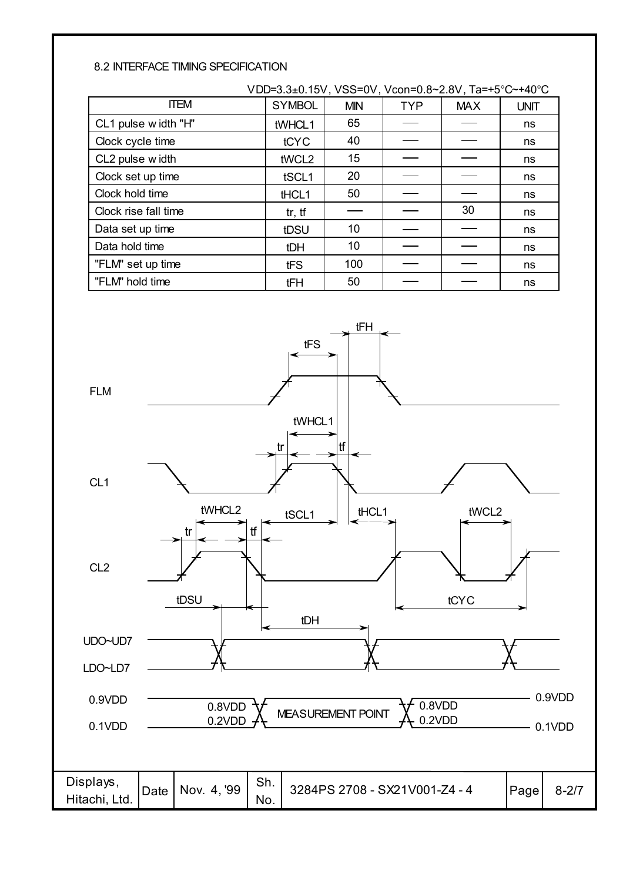#### 8.2 INTERFACE TIMING SPECIFICATION

|                      | VDD=3.3±0.15V, VSS=0V, Vcon=0.8~2.8V, Ta=+5°C~+40°C |            |            |            |             |
|----------------------|-----------------------------------------------------|------------|------------|------------|-------------|
| <b>ITEM</b>          | <b>SYMBOL</b>                                       | <b>MIN</b> | <b>TYP</b> | <b>MAX</b> | <b>UNIT</b> |
| CL1 pulse width "H"  | tWHCL1                                              | 65         |            |            | ns          |
| Clock cycle time     | tCYC                                                | 40         |            |            | ns          |
| CL2 pulse width      | tWCL2                                               | 15         |            |            | ns          |
| Clock set up time    | tSCL1                                               | 20         |            |            | ns          |
| Clock hold time      | tHCL1                                               | 50         |            |            | ns          |
| Clock rise fall time | tr, tf                                              |            |            | 30         | ns          |
| Data set up time     | tDSU                                                | 10         |            |            | ns          |
| Data hold time       | tDH                                                 | 10         |            |            | ns          |
| "FLM" set up time    | tFS                                                 | 100        |            |            | ns          |
| "FLM" hold time      | tFH                                                 | 50         |            |            | ns          |

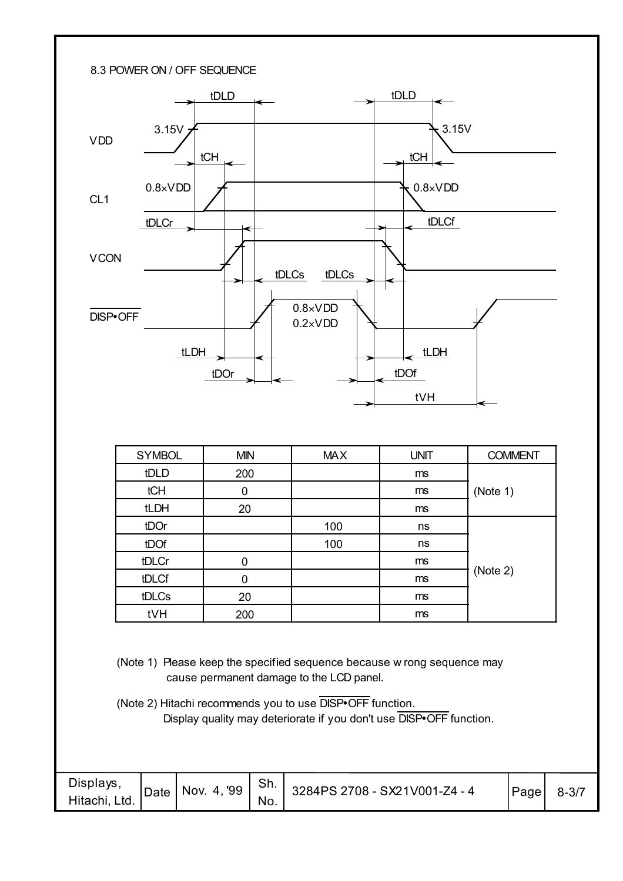

| <b>SYMBOL</b> | <b>MIN</b> | <b>MAX</b> | <b>UNIT</b> | <b>COMMENT</b> |
|---------------|------------|------------|-------------|----------------|
| tDLD          | 200        |            | ms          |                |
| tCH           | 0          |            | ms          | (Note 1)       |
| tLDH          | 20         |            | ms          |                |
| tDOr          |            | 100        | ns          |                |
| tDOf          |            | 100        | ns          |                |
| tDLCr         | 0          |            | ms          |                |
| tDLCf         | 0          |            | ms          | (Note 2)       |
| tDLCs         | 20         |            | ms          |                |
| tVH           | 200        |            | ms          |                |

(Note 1) Please keep the specified sequence because w rong sequence may cause permanent damage to the LCD panel.

(Note 2) Hitachi recommends you to use DISP•OFF function. Display quality may deteriorate if you don't use DISP•OFF function.

| Displays,<br>Hitachi, Ltd. | Data   Nov. 4, 99 | Sh.<br>No. | 3284PS 2708 - SX21V001-Z4 - 4 | Page | $8 - 3/7$ |
|----------------------------|-------------------|------------|-------------------------------|------|-----------|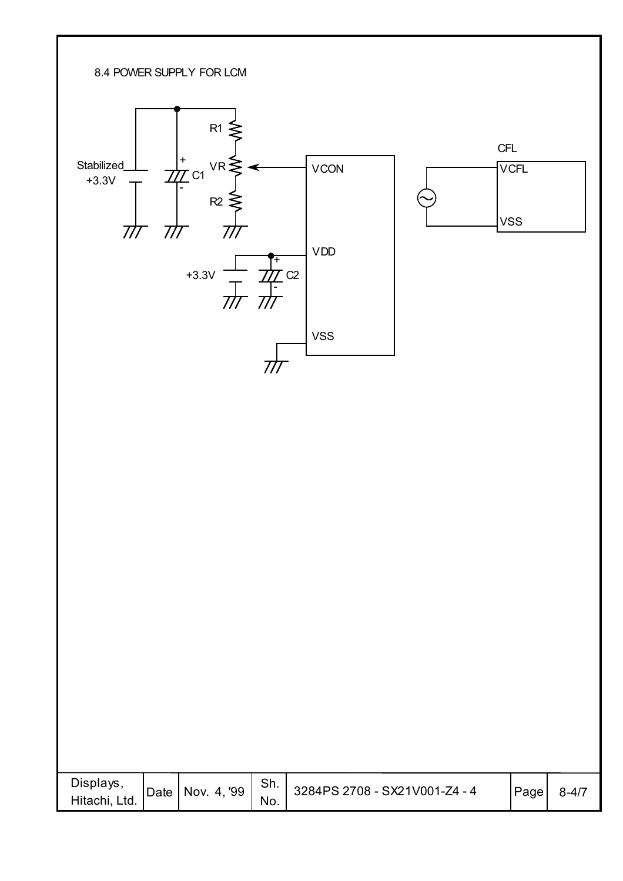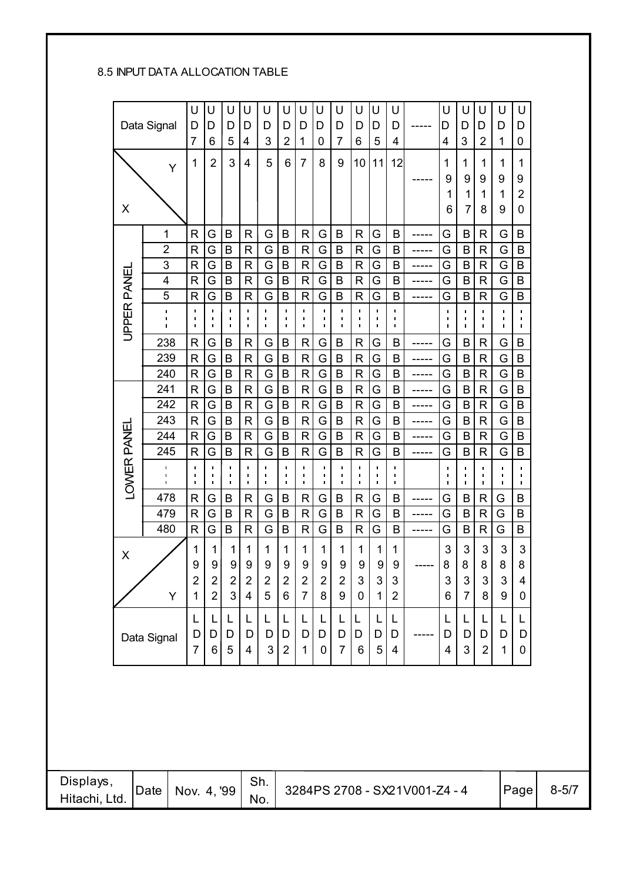#### 8.5 INPUT DATA ALLOCATION TABLE

|                            |             | Data Signal                            |   | U<br>U<br>D<br>D<br>$\overline{7}$<br>6          | U<br>D<br>5                                                    | U<br>D<br>4                      | U<br>D<br>3                                      | U<br>D<br>2                      | U<br>D<br>1                      | U<br>D<br>0                                    | U<br>D<br>$\overline{7}$ | U<br>D<br>6                    | U<br>D<br>5                            | U<br>D<br>4                      |                               | U<br>D<br>4                                        | U<br>D<br>3                                        | U<br>D<br>$\overline{2}$    | U<br>D<br>1               | U<br>D<br>0                            |           |
|----------------------------|-------------|----------------------------------------|---|--------------------------------------------------|----------------------------------------------------------------|----------------------------------|--------------------------------------------------|----------------------------------|----------------------------------|------------------------------------------------|--------------------------|--------------------------------|----------------------------------------|----------------------------------|-------------------------------|----------------------------------------------------|----------------------------------------------------|-----------------------------|---------------------------|----------------------------------------|-----------|
|                            |             |                                        | Ý | 1                                                | $\overline{2}$<br>3                                            | $\overline{\mathbf{4}}$          | 5                                                | 6                                | $\overline{7}$                   | 8                                              | 9                        | 10                             | 11                                     | 12                               |                               | 1<br>9<br>1                                        | 1<br>9<br>$\mathbf 1$                              | 1<br>9<br>1                 | 1<br>9<br>1               | 1<br>9<br>$\overline{2}$               |           |
|                            | X           |                                        |   |                                                  |                                                                |                                  |                                                  |                                  |                                  |                                                |                          |                                |                                        |                                  |                               | 6                                                  | $\overline{7}$                                     | 8                           | 9                         | 0                                      |           |
|                            |             | 1                                      |   | G<br>R                                           | B                                                              | $\mathsf{R}$                     | G                                                | $\sf B$                          | $\mathsf{R}$                     | G                                              | B                        | $\mathsf{R}$                   | G                                      | B                                | -----                         | G                                                  | B                                                  | $\mathsf{R}$                | G                         | B                                      |           |
|                            |             | $\overline{2}$                         |   | R                                                | G<br>B                                                         | $\mathsf{R}$                     | G                                                | B                                | $\mathsf{R}$                     | G                                              | B                        | $\mathsf{R}$                   | G                                      | B                                |                               | G                                                  | $\mathsf B$                                        | $\mathsf{R}$                | G                         | $\sf B$                                |           |
|                            |             | 3                                      |   | $\mathsf{R}$<br>G                                | B                                                              | $\mathsf{R}$                     | G                                                | B                                | $\mathsf{R}$                     | G                                              | B                        | $\mathsf{R}$                   | G                                      | B                                |                               | G                                                  | B                                                  | $\mathsf{R}$                | G                         | B                                      |           |
|                            |             | $\overline{\mathbf{4}}$                |   | $\mathsf{R}$<br>G                                | B                                                              | $\mathsf{R}$                     | G                                                | B                                | $\mathsf R$                      | G                                              | $\sf B$                  | $\mathsf{R}$                   | G                                      | B                                | -----                         | G                                                  | B                                                  | $\mathsf{R}$                | G                         | B                                      |           |
|                            |             | $\overline{5}$                         |   | R                                                | G<br>B                                                         | $\mathsf{R}$<br>$\blacksquare$   | G                                                | B                                | $\mathsf{R}$<br>$\blacksquare$   | G                                              | B                        | $\mathsf{R}$<br>$\blacksquare$ | G                                      | B<br>I.                          | -----                         | G                                                  | B                                                  | $\mathsf R$                 | G                         | B                                      |           |
|                            | JPPER PANEI | J.<br>$\blacksquare$<br>$\blacksquare$ |   | $\mathbf{I}$<br>$\blacksquare$<br>$\blacksquare$ | $\blacksquare$<br>$\blacksquare$<br>I.<br>$\blacksquare$<br>I. | п<br>$\blacksquare$              | $\mathbf{I}$<br>$\blacksquare$<br>$\blacksquare$ | $\blacksquare$<br>٠<br>I.        | $\blacksquare$<br>$\blacksquare$ | $\mathbf{I}$<br>$\blacksquare$<br>$\mathbf{L}$ | п<br>٠<br>$\blacksquare$ | п<br>$\blacksquare$            | $\blacksquare$<br>υ.<br>$\blacksquare$ | п<br>$\blacksquare$              |                               | $\blacksquare$<br>$\blacksquare$<br>$\blacksquare$ | $\blacksquare$<br>$\blacksquare$<br>$\blacksquare$ | ı.<br>ı,<br>T,              | п<br>ı,<br>$\blacksquare$ | п.<br>$\blacksquare$<br>$\blacksquare$ |           |
|                            |             | 238                                    |   | R                                                | G<br>$\sf B$                                                   | R                                | G                                                | $\sf B$                          | $\mathsf{R}$                     | G                                              | $\sf B$                  | R                              | G                                      | B                                | $- - - - -$                   | G                                                  | B                                                  | R                           | G                         | B                                      |           |
|                            |             | 239                                    |   | $\mathsf{R}$                                     | G<br>$\sf B$                                                   | $\mathsf{R}$                     | G                                                | $\sf B$                          | $\mathsf{R}$                     | G                                              | B                        | $\mathsf{R}$                   | G                                      | B                                |                               | G                                                  | B                                                  | $\mathsf{R}$                | ${\mathsf G}$             | B                                      |           |
|                            |             | 240                                    |   | R.<br>G                                          | B                                                              | $\mathsf{R}$                     | G                                                | $\sf B$                          | $\mathsf{R}$                     | G                                              | B                        | $\mathsf{R}$                   | G                                      | B                                | -----                         | G                                                  | $\sf B$                                            | $\mathsf{R}$                | G                         | B                                      |           |
|                            |             | 241                                    |   | $\mathsf{R}$                                     | G<br>B                                                         | $\mathsf{R}$                     | G                                                | $\sf B$                          | $\mathsf R$                      | G                                              | B                        | $\mathsf{R}$                   | G                                      | $\mathsf B$                      |                               | G                                                  | B                                                  | $\mathsf{R}$                | G                         | B                                      |           |
|                            |             | 242<br>243                             |   | R<br>G<br>G<br>$\mathsf{R}$                      | B<br>B                                                         | $\mathsf{R}$<br>$\mathsf{R}$     | G<br>G                                           | $\sf B$<br>$\sf B$               | $\mathsf{R}$<br>$\mathsf{R}$     | G<br>G                                         | B<br>B                   | $\mathsf{R}$<br>$\mathsf{R}$   | G<br>G                                 | B<br>B                           | -----                         | G<br>G                                             | B<br>B                                             | R<br>$\mathsf{R}$           | G<br>G                    | B<br>B                                 |           |
|                            |             | 244                                    |   | R<br>G                                           | B                                                              | R                                | G                                                | B                                | $\mathsf{R}$                     | G                                              | B                        | R                              | G                                      | B                                | -----                         | G                                                  | B                                                  | R                           | G                         | B                                      |           |
|                            |             | 245                                    |   | R                                                | G<br>$\sf B$                                                   | $\mathsf{R}$                     | G                                                | $\sf B$                          | ${\sf R}$                        | G                                              | $\sf B$                  | $\mathsf{R}$                   | G                                      | B                                | -----<br>-----                | G                                                  | $\sf B$                                            | $\mathsf{R}$                | G                         | B                                      |           |
|                            | LOWER PANEL | п<br>$\blacksquare$                    |   | $\blacksquare$<br>$\blacksquare$                 | $\blacksquare$<br>$\blacksquare$<br>I.                         | $\blacksquare$<br>$\blacksquare$ | $\mathbf{I}$<br>$\blacksquare$                   | $\blacksquare$<br>$\blacksquare$ | $\blacksquare$<br>$\blacksquare$ | п.                                             | п                        | $\blacksquare$<br>п            | $\blacksquare$                         | $\blacksquare$<br>$\blacksquare$ |                               | $\blacksquare$                                     | $\blacksquare$<br>$\blacksquare$                   | п<br>I.                     | H.<br>$\blacksquare$      | $\blacksquare$<br>$\blacksquare$       |           |
|                            |             | $\blacksquare$                         |   | $\mathbf{I}$                                     | $\blacksquare$<br>$\blacksquare$                               | $\blacksquare$                   | $\blacksquare$                                   | $\blacksquare$                   | $\blacksquare$                   | $\blacksquare$                                 | $\mathbf{I}$             | $\blacksquare$                 | $\blacksquare$                         | $\blacksquare$                   |                               | $\blacksquare$                                     | $\blacksquare$                                     | T,                          | $\blacksquare$            | $\blacksquare$                         |           |
|                            |             | 478                                    |   | $\mathsf{R}$                                     | G<br>B                                                         | $\mathsf{R}$                     | G                                                | B                                | $\mathsf{R}$                     | G                                              | $\sf B$                  | $\mathsf{R}$                   | G                                      | B                                |                               | G                                                  | B                                                  | $\mathsf{R}$                | G                         | $\sf B$                                |           |
|                            |             | 479<br>480                             |   | $\mathsf{R}$<br>$\mathsf{R}$                     | G<br>B<br>G<br>$\sf B$                                         | $\mathsf{R}$<br>R                | G<br>G                                           | $\sf B$<br>B                     | $\mathsf{R}$<br>$\mathsf R$      | G<br>G                                         | B<br>B                   | $\mathsf{R}$<br>$\mathsf R$    | G<br>G                                 | B<br>B                           |                               | G<br>G                                             | $\mathsf{B}$<br>$\sf B$                            | $\mathsf{R}$<br>$\mathsf R$ | G<br>G                    | $\sf B$<br>B                           |           |
|                            |             |                                        |   |                                                  |                                                                |                                  |                                                  |                                  |                                  |                                                |                          |                                |                                        |                                  |                               |                                                    |                                                    |                             |                           |                                        |           |
|                            | X           |                                        |   | 1<br>$\boldsymbol{9}$                            | 1<br>1<br>9 <sup>1</sup><br>9                                  | 1<br>9                           | 1<br>$9\,$                                       | 1<br>$\boldsymbol{9}$            | 1<br>9                           | 1<br>9                                         | 1<br>9                   | 1<br>9                         | 1<br>$\boldsymbol{9}$                  | 1<br>$\boldsymbol{9}$            |                               | 3<br>8                                             | 3<br>8                                             | 3<br>8                      | 3<br>8                    | $\mathfrak{S}$<br>8                    |           |
|                            |             |                                        |   | $\mathbf 2$                                      | $\overline{2}$<br>$\mathbf 2$                                  | $\overline{2}$                   | $\overline{2}$                                   | $\mathbf 2$                      | $\overline{c}$                   | $\overline{2}$                                 | $\overline{2}$           | 3                              | $\mathfrak{S}$                         | $\mathbf{3}$                     |                               | $\ensuremath{\mathsf{3}}$                          | $\mathfrak{S}$                                     | $\mathfrak{S}$              | 3                         | $\overline{4}$                         |           |
|                            |             |                                        | Y | 1                                                | 3<br>$\overline{2}$                                            | $\overline{\mathbf{4}}$          | 5                                                | 6                                | $\overline{7}$                   | 8                                              | 9                        | $\pmb{0}$                      | 1                                      | $\overline{2}$                   |                               | 6                                                  | $\overline{7}$                                     | 8                           | 9                         | $\mathbf 0$                            |           |
|                            |             |                                        |   | L<br>D                                           | L<br>L<br>D<br>D                                               | L<br>D                           | L<br>D                                           | L<br>D                           | L<br>D                           | L<br>D                                         | D                        | L<br>D                         | L<br>D                                 | L<br>D                           |                               | L<br>D                                             | L<br>D                                             | L<br>D                      | L<br>D                    | L<br>D                                 |           |
|                            |             | Data Signal                            |   | 7                                                | 6<br>$\sqrt{5}$                                                | 4                                | 3 <sup>1</sup>                                   | $\overline{2}$                   | 1                                | 0                                              | $\overline{7}$           | 6                              | $\sqrt{5}$                             | 4                                |                               | 4                                                  | 3 <sup>1</sup>                                     | $2 \nvert$                  | $\mathbf{1}$              | 0                                      |           |
|                            |             |                                        |   |                                                  |                                                                |                                  |                                                  |                                  |                                  |                                                |                          |                                |                                        |                                  |                               |                                                    |                                                    |                             |                           |                                        |           |
|                            |             |                                        |   |                                                  |                                                                |                                  |                                                  |                                  |                                  |                                                |                          |                                |                                        |                                  |                               |                                                    |                                                    |                             |                           |                                        |           |
|                            |             |                                        |   |                                                  |                                                                |                                  |                                                  |                                  |                                  |                                                |                          |                                |                                        |                                  |                               |                                                    |                                                    |                             |                           |                                        |           |
|                            |             |                                        |   |                                                  |                                                                |                                  |                                                  |                                  |                                  |                                                |                          |                                |                                        |                                  |                               |                                                    |                                                    |                             |                           |                                        |           |
| Displays,<br>Hitachi, Ltd. |             | Date                                   |   |                                                  | Nov. 4, '99                                                    |                                  | Sh.<br>No.                                       |                                  |                                  |                                                |                          |                                |                                        |                                  | 3284PS 2708 - SX21V001-Z4 - 4 |                                                    |                                                    |                             |                           | Page                                   | $8 - 5/7$ |
|                            |             |                                        |   |                                                  |                                                                |                                  |                                                  |                                  |                                  |                                                |                          |                                |                                        |                                  |                               |                                                    |                                                    |                             |                           |                                        |           |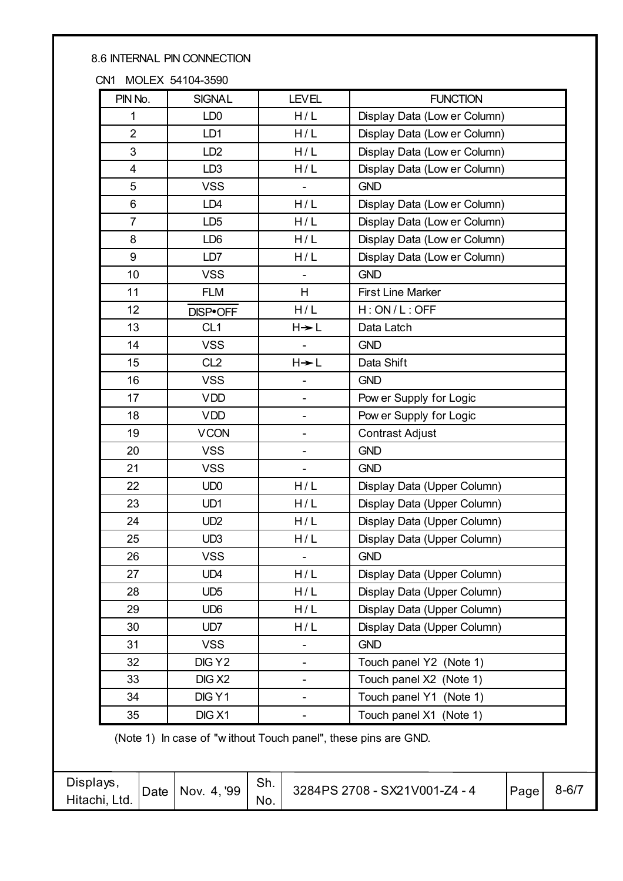#### 8.6 INTERNAL PIN CONNECTION

#### CN1 MOLEX 54104-3590

| PIN No.                 | <b>SIGNAL</b>      | <b>LEVEL</b>                 | <b>FUNCTION</b>              |  |  |
|-------------------------|--------------------|------------------------------|------------------------------|--|--|
| 1                       | LD <sub>0</sub>    | H/L                          | Display Data (Low er Column) |  |  |
| $\overline{2}$          | LD1                | H/L                          | Display Data (Low er Column) |  |  |
| 3                       | LD <sub>2</sub>    | H/L                          | Display Data (Low er Column) |  |  |
| $\overline{\mathbf{4}}$ | LD <sub>3</sub>    | H/L                          | Display Data (Low er Column) |  |  |
| 5                       | <b>VSS</b>         | $\blacksquare$               | <b>GND</b>                   |  |  |
| 6                       | LD <sub>4</sub>    | H/L                          | Display Data (Low er Column) |  |  |
| $\overline{7}$          | LD <sub>5</sub>    | H/L                          | Display Data (Low er Column) |  |  |
| 8                       | LD <sub>6</sub>    | H/L                          | Display Data (Low er Column) |  |  |
| 9                       | LD7                | H/L                          | Display Data (Low er Column) |  |  |
| 10                      | <b>VSS</b>         |                              | <b>GND</b>                   |  |  |
| 11                      | <b>FLM</b>         | H                            | <b>First Line Marker</b>     |  |  |
| 12                      | DISP•OFF           | H/L                          | H:ON/L:OFF                   |  |  |
| 13                      | CL <sub>1</sub>    | $H + L$                      | Data Latch                   |  |  |
| 14                      | <b>VSS</b>         |                              | <b>GND</b>                   |  |  |
| 15                      | CL <sub>2</sub>    | $H + L$                      | Data Shift                   |  |  |
| 16                      | <b>VSS</b>         |                              | <b>GND</b>                   |  |  |
| 17                      | <b>VDD</b>         |                              | Pow er Supply for Logic      |  |  |
| 18                      | <b>VDD</b>         | $\qquad \qquad \blacksquare$ | Pow er Supply for Logic      |  |  |
| 19                      | <b>VCON</b>        | $\overline{\phantom{a}}$     | <b>Contrast Adjust</b>       |  |  |
| 20                      | <b>VSS</b>         | $\overline{\phantom{a}}$     | <b>GND</b>                   |  |  |
| 21                      | <b>VSS</b>         |                              | <b>GND</b>                   |  |  |
| 22                      | UD <sub>0</sub>    | H/L                          | Display Data (Upper Column)  |  |  |
| 23                      | UD1                | H/L                          | Display Data (Upper Column)  |  |  |
| 24                      | UD <sub>2</sub>    | H/L                          | Display Data (Upper Column)  |  |  |
| 25                      | UD <sub>3</sub>    | H/L                          | Display Data (Upper Column)  |  |  |
| 26                      | <b>VSS</b>         |                              | <b>GND</b>                   |  |  |
| 27                      | UD4                | H/L                          | Display Data (Upper Column)  |  |  |
| 28                      | UD <sub>5</sub>    | H/L                          | Display Data (Upper Column)  |  |  |
| 29                      | UD <sub>6</sub>    | H/L                          | Display Data (Upper Column)  |  |  |
| 30                      | UD7                | H/L                          | Display Data (Upper Column)  |  |  |
| 31                      | <b>VSS</b>         |                              | <b>GND</b>                   |  |  |
| 32                      | DIG Y2             |                              | Touch panel Y2 (Note 1)      |  |  |
| 33                      | DIG X <sub>2</sub> |                              | Touch panel X2 (Note 1)      |  |  |
| 34                      | DIG Y1             | $\overline{\phantom{a}}$     | Touch panel Y1 (Note 1)      |  |  |
| 35                      | DIG <sub>X1</sub>  |                              | Touch panel X1 (Note 1)      |  |  |

(Note 1) In case of "w ithout Touch panel", these pins are GND.

| Displays,<br>Hitachi, Ltd. | Date | Nov. 4, '99 | Sh.<br>No. | 3284PS 2708 - SX21V001-Z4 - 4 | Page | $8 - 6/7$ |
|----------------------------|------|-------------|------------|-------------------------------|------|-----------|
|----------------------------|------|-------------|------------|-------------------------------|------|-----------|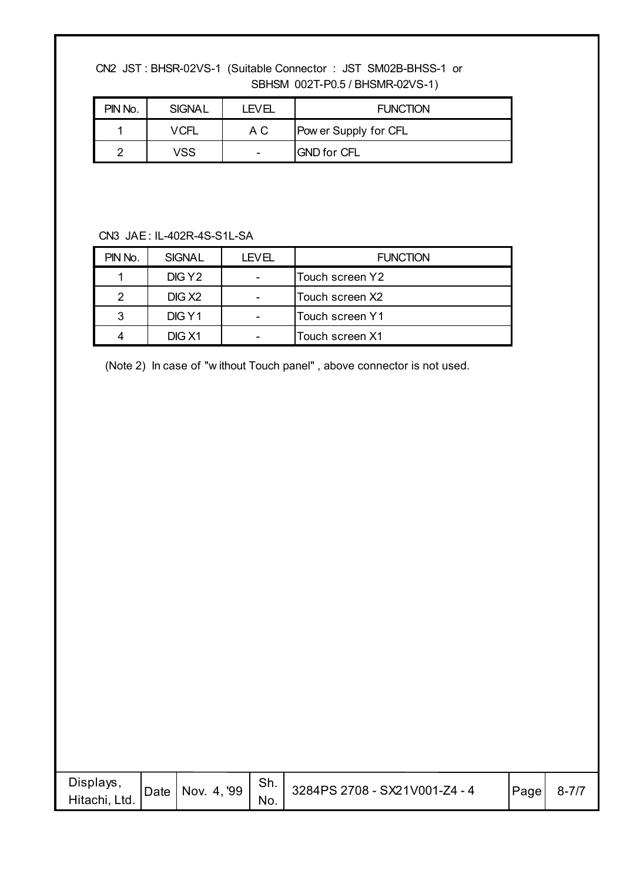CN2 JST : BHSR-02VS-1 (Suitable Connector : JST SM02B-BHSS-1 or SBHSM 002T-P0.5 / BHSMR-02VS-1)

| PIN No. | <b>SIGNAL</b> | <b>LEVEL</b>             | <b>FUNCTION</b>       |
|---------|---------------|--------------------------|-----------------------|
|         | VCFL          | A C                      | Pow er Supply for CFL |
| ◠       | VSS           | $\overline{\phantom{0}}$ | <b>GND for CFL</b>    |

#### CN3 JAE : IL-402R-4S-S1L-SA

| PIN No. | <b>SIGNAL</b>      | LEVEL | <b>FUNCTION</b> |
|---------|--------------------|-------|-----------------|
|         | DIG Y2             |       | Touch screen Y2 |
| 2       | DIG X <sub>2</sub> |       | Touch screen X2 |
| 3       | DIG Y1             |       | Touch screen Y1 |
|         | DIG <sub>X1</sub>  |       | Touch screen X1 |

(Note 2) In case of "w ithout Touch panel" , above connector is not used.

| Displays,<br>Hitachi, Ltd. |  |  | No. | Date   Nov. 4, '99   Sh.   3284PS 2708 - SX21V001-Z4 - 4 | $\vert$ Page $\vert$ | $8 - 7/7$ |
|----------------------------|--|--|-----|----------------------------------------------------------|----------------------|-----------|
|----------------------------|--|--|-----|----------------------------------------------------------|----------------------|-----------|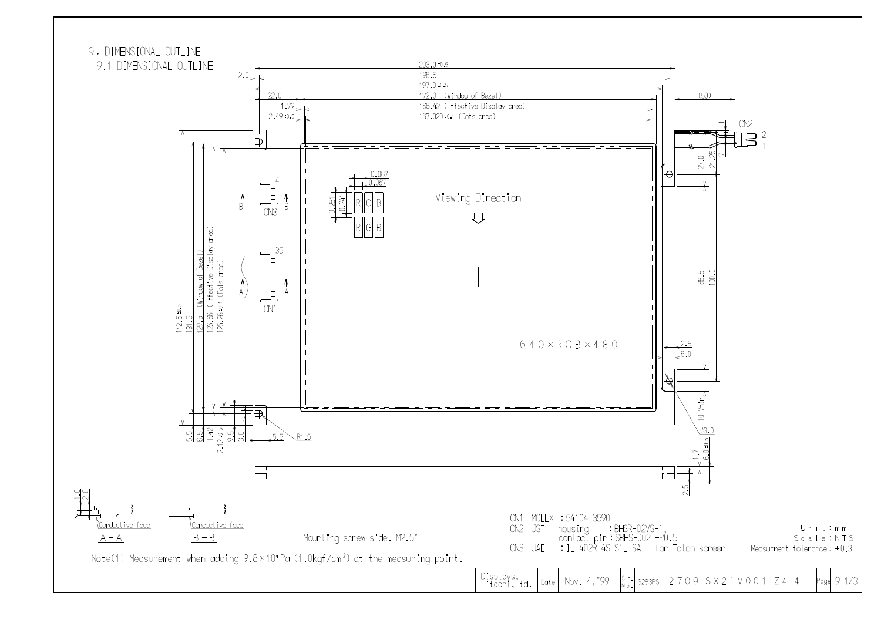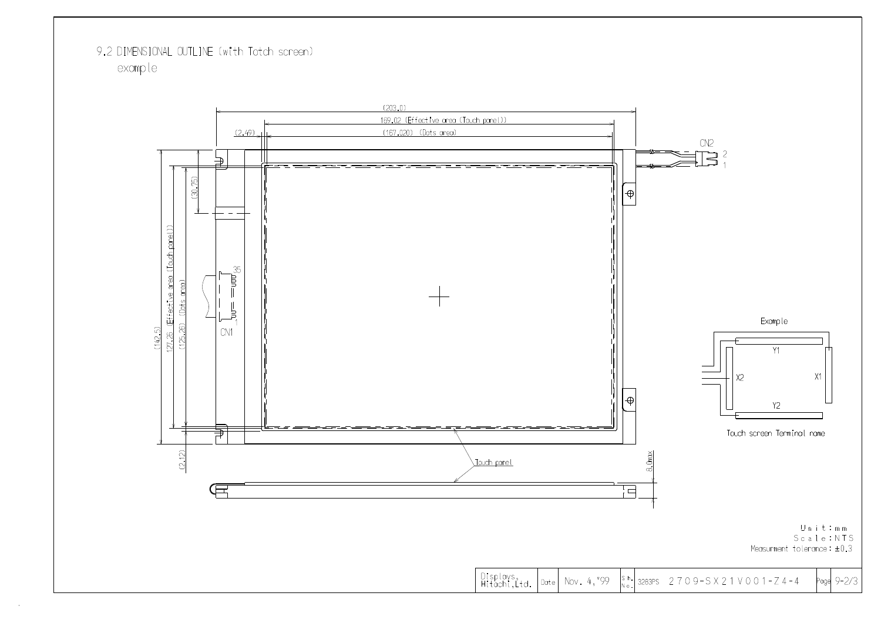## 9.2 DIMENSIONAL OUTLINE (with Totch screen) example



Displays,<br>Hitachi,Ltd.  $\vert$  Date  $\vert$  Nov. 4,  $^{\circ}$ 99



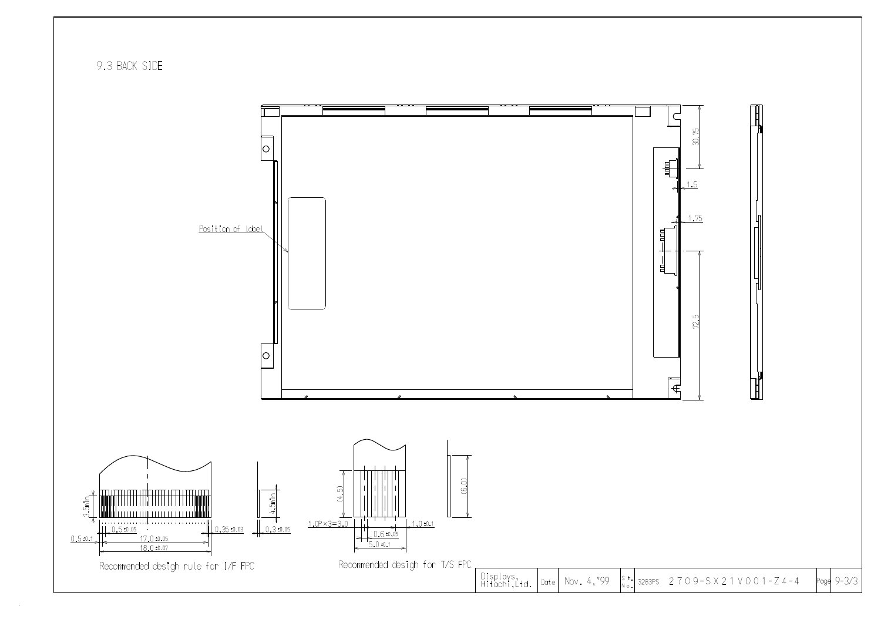9.3 BACK SIDE

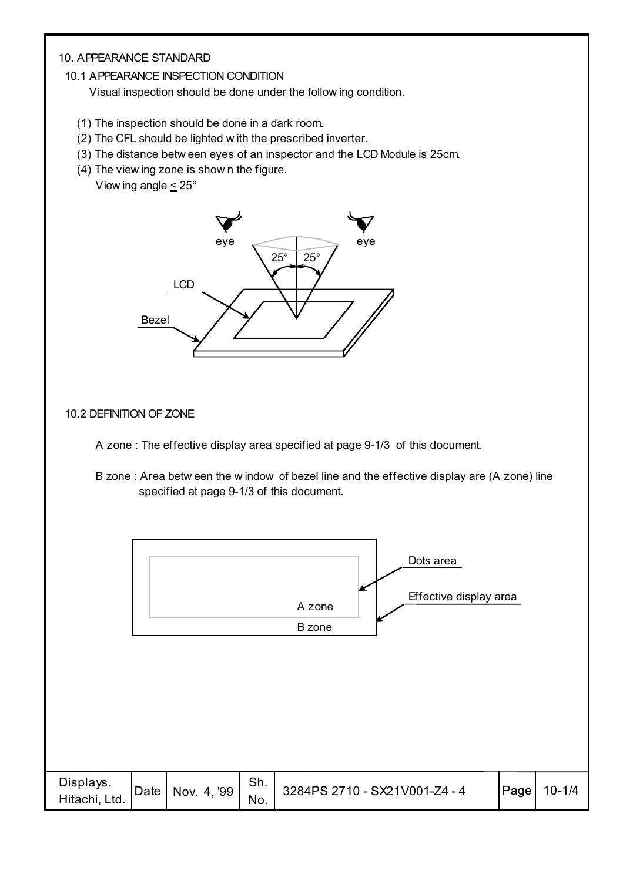#### 10. APPEARANCE STANDARD

10.1 APPEARANCE INSPECTION CONDITION

Visual inspection should be done under the follow ing condition.

- (1) The inspection should be done in a dark room.
- (2) The CFL should be lighted w ith the prescribed inverter.
- (3) The distance betw een eyes of an inspector and the LCD Module is 25cm.
- (4) The view ing zone is show n the figure. View ing angle  $\leq 25^\circ$



#### 10.2 DEFINITION OF ZONE



 B zone : Area betw een the w indow of bezel line and the effective display are (A zone) line specified at page 9-1/3 of this document.

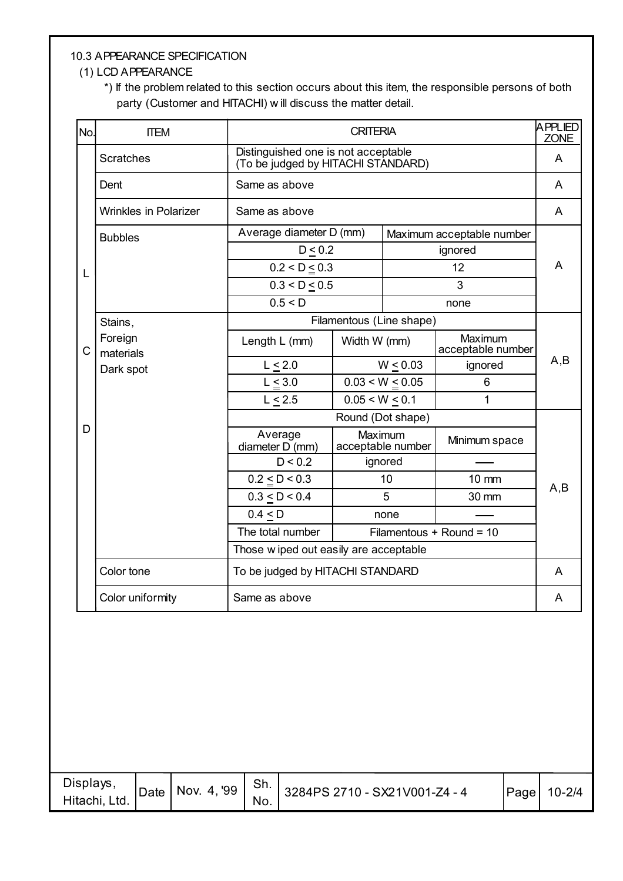#### 10.3 APPEARANCE SPECIFICATION

#### (1) LCD APPEARANCE

 \*) If the problem related to this section occurs about this item, the responsible persons of both party (Customer and HITACHI) w ill discuss the matter detail.

| No.          | <b>ITEM</b>                  |                                        | APPLIED<br><b>CRITERIA</b>                                                |                              |                              |     |
|--------------|------------------------------|----------------------------------------|---------------------------------------------------------------------------|------------------------------|------------------------------|-----|
|              | <b>Scratches</b>             |                                        | Distinguished one is not acceptable<br>(To be judged by HITACHI STANDARD) |                              |                              |     |
|              | Dent                         | Same as above                          |                                                                           |                              |                              | A   |
|              | <b>Wrinkles in Polarizer</b> | Same as above                          |                                                                           |                              |                              | A   |
|              | <b>Bubbles</b>               | Average diameter D (mm)                |                                                                           |                              | Maximum acceptable number    |     |
|              |                              | $D \leq 0.2$                           |                                                                           |                              | ignored                      |     |
| L            |                              | $0.2 < D \le 0.3$                      |                                                                           |                              | 12                           | A   |
|              |                              | 0.3 < D < 0.5                          |                                                                           |                              | 3                            |     |
|              |                              | 0.5 < D                                |                                                                           |                              | none                         |     |
|              | Stains,                      | Filamentous (Line shape)               |                                                                           |                              |                              |     |
| $\mathsf{C}$ | Foreign<br>materials         | Length L (mm)                          | Width W (mm)                                                              |                              | Maximum<br>acceptable number |     |
|              | Dark spot                    | $L \leq 2.0$                           |                                                                           | W < 0.03                     | ignored                      | A,B |
|              |                              | $L \leq 3.0$                           |                                                                           | $0.03 < W \le 0.05$          | $6\phantom{1}$               |     |
|              |                              | $L \leq 2.5$                           | 0.05 < W < 0.1                                                            |                              | 1                            |     |
|              |                              |                                        |                                                                           | Round (Dot shape)            |                              |     |
| D            |                              | Average<br>diameter D (mm)             |                                                                           | Maximum<br>acceptable number | Minimum space                |     |
|              |                              | D < 0.2                                |                                                                           | ignored                      |                              |     |
|              |                              | $0.2 \le D < 0.3$                      |                                                                           | 10                           | $10 \text{ mm}$              | A,B |
|              |                              | 0.3 < D < 0.4                          |                                                                           | 5                            | 30 mm                        |     |
|              |                              | $0.4 \leq D$                           |                                                                           | none                         |                              |     |
|              |                              | The total number                       |                                                                           |                              | Filamentous + Round = 10     |     |
|              |                              | Those w iped out easily are acceptable |                                                                           |                              |                              |     |
|              | Color tone                   | To be judged by HITACHI STANDARD       |                                                                           |                              |                              | A   |
|              | Color uniformity             | Same as above                          |                                                                           |                              |                              | A   |

| Displays,<br>Hitachi, Ltd. | Date | <b>Nov. 4, '99  </b> | Sh.<br>No. | 3284PS 2710 - SX21V001-Z4 - 4 | <b>Page</b> | $10 - 2/4$ |
|----------------------------|------|----------------------|------------|-------------------------------|-------------|------------|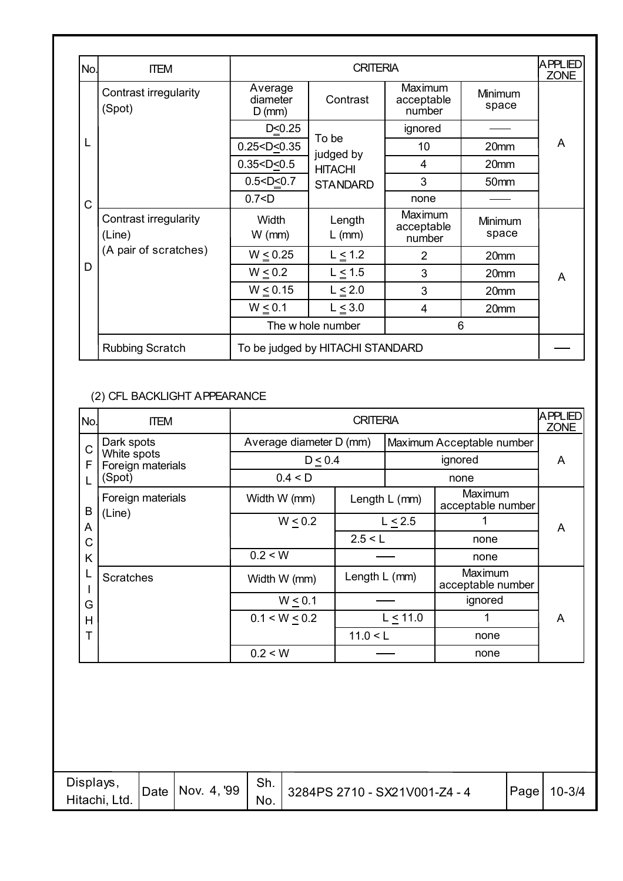| No. | <b>ITEM</b>                     |                                 | APPLIED<br><b>CRITERIA</b>       |                                 |                  |   |  |
|-----|---------------------------------|---------------------------------|----------------------------------|---------------------------------|------------------|---|--|
|     | Contrast irregularity<br>(Spot) | Average<br>diameter<br>$D$ (mm) | Contrast                         | Maximum<br>acceptable<br>number | Minimum<br>space |   |  |
|     |                                 | D < 0.25                        |                                  | ignored                         |                  |   |  |
| L   |                                 | 0.25 < D < 0.35                 | To be<br>judged by               | 10                              | 20mm             | A |  |
|     |                                 | 0.35 < D < 0.5                  | <b>HITACHI</b>                   | 4                               | 20mm             |   |  |
|     |                                 | 0.5 < D < 0.7                   | <b>STANDARD</b>                  | 3                               | 50 <sub>mm</sub> |   |  |
| C   |                                 | 0.7 < D                         |                                  | none                            |                  |   |  |
|     | Contrast irregularity<br>(Line) | <b>Width</b><br>$W$ (mm)        | Length<br>$L$ (mm)               | Maximum<br>acceptable<br>number | Minimum<br>space |   |  |
|     | (A pair of scratches)           | $W \le 0.25$                    | $L \leq 1.2$                     | 2                               | 20mm             |   |  |
| D   |                                 | $W \leq 0.2$                    | $L \leq 1.5$                     | 3                               | 20mm             | A |  |
|     |                                 | $W \le 0.15$                    | $L \leq 2.0$                     | 3                               | 20mm             |   |  |
|     |                                 | W < 0.1                         | $L \leq 3.0$                     | 4                               | 20mm             |   |  |
|     |                                 |                                 | The w hole number                | 6                               |                  |   |  |
|     | <b>Rubbing Scratch</b>          |                                 | To be judged by HITACHI STANDARD |                                 |                  |   |  |

#### (2) CFL BACKLIGHT APPEARANCE

| No.          | <b>ITEM</b>                      |                         | <b>CRITERIA</b> |                 |                              | APPLIED<br><b>ZONE</b> |
|--------------|----------------------------------|-------------------------|-----------------|-----------------|------------------------------|------------------------|
| $\mathsf{C}$ | Dark spots                       | Average diameter D (mm) |                 |                 | Maximum Acceptable number    |                        |
| F            | White spots<br>Foreign materials | $D \leq 0.4$            |                 |                 | ignored                      | A                      |
|              | (Spot)                           | 0.4 < D                 |                 |                 | none                         |                        |
| B            | Foreign materials                | Width W (mm)            |                 | Length $L$ (mm) | Maximum<br>acceptable number |                        |
| A            | (Line)                           | W < 0.2                 |                 | $L \leq 2.5$    |                              | A                      |
| C            |                                  |                         | 2.5 < L         |                 | none                         |                        |
| K            |                                  | 0.2 < W                 |                 |                 | none                         |                        |
|              | <b>Scratches</b>                 | Width W (mm)            | Length L (mm)   |                 | Maximum<br>acceptable number |                        |
| G            |                                  | W < 0.1                 |                 |                 | ignored                      |                        |
| H            |                                  | $0.1 < W \le 0.2$       |                 | $L \le 11.0$    |                              | A                      |
| Т            |                                  |                         | 11.0 < L        |                 | none                         |                        |
|              |                                  | 0.2 < W                 |                 |                 | none                         |                        |

| Displays.<br>Hitachi, Ltd. | Date   Nov. 4, '99 | .ווכ<br>No. | 3284PS 2710 - SX21V001-Z4 - 4 | Page | $10 - 3/4$ |
|----------------------------|--------------------|-------------|-------------------------------|------|------------|
|                            |                    |             |                               |      |            |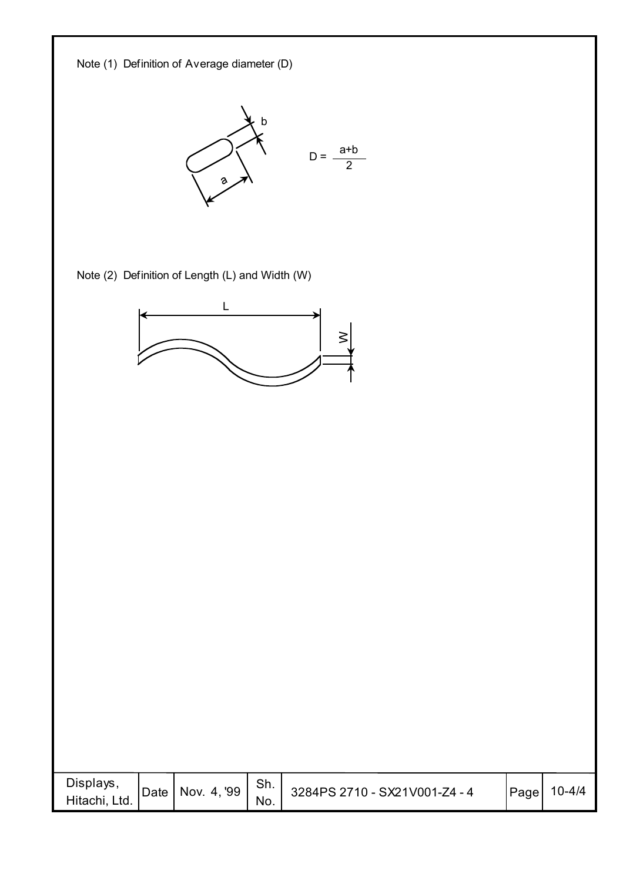

| <b>IDate   Nov. 4, '99  </b><br>Hitachi, Ltd.<br>No. | Displays, |  |  | Sh. | 3284PS 2710 - SX21V001-Z4 - 4 | Page | 10-4/4 |
|------------------------------------------------------|-----------|--|--|-----|-------------------------------|------|--------|
|------------------------------------------------------|-----------|--|--|-----|-------------------------------|------|--------|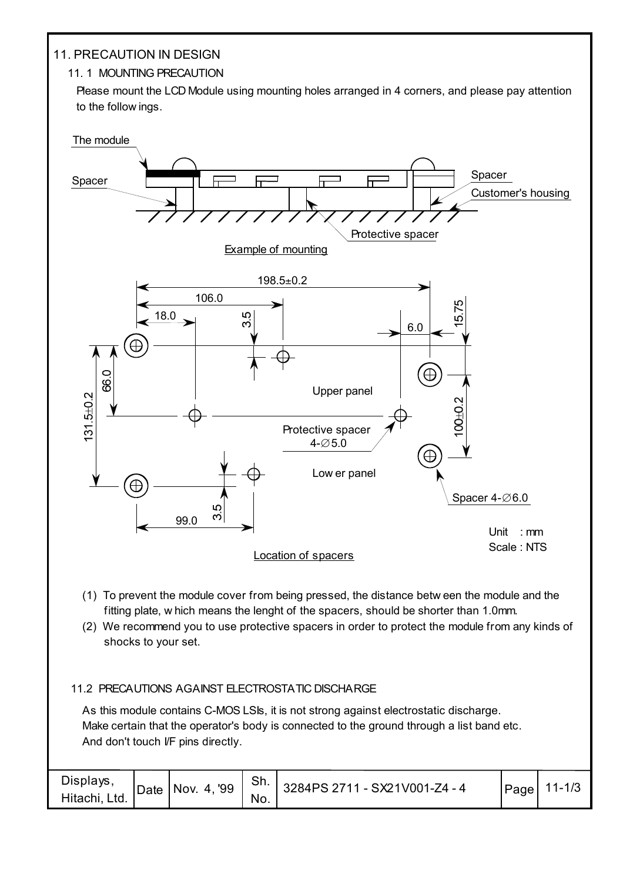#### 11. PRECAUTION IN DESIGN

#### 11. 1 MOUNTING PRECAUTION

Please mount the LCD Module using mounting holes arranged in 4 corners, and please pay attention to the follow ings.



- (1) To prevent the module cover from being pressed, the distance betw een the module and the fitting plate, w hich means the lenght of the spacers, should be shorter than 1.0mm.
- (2) We recommend you to use protective spacers in order to protect the module from any kinds of shocks to your set.

#### 11.2 PRECAUTIONS AGAINST ELECTROSTATIC DISCHARGE

As this module contains C-MOS LSIs, it is not strong against electrostatic discharge. Make certain that the operator's body is connected to the ground through a list band etc. And don't touch I/F pins directly.

| Displays,<br>Hitachi, Ltd. | Date   Nov. 4, '99 | Sh. '<br>No. | $\frac{1}{2}$ 3284PS 2711 - SX21V001-Z4 - 4 | Page | $11 - 1/3$ |
|----------------------------|--------------------|--------------|---------------------------------------------|------|------------|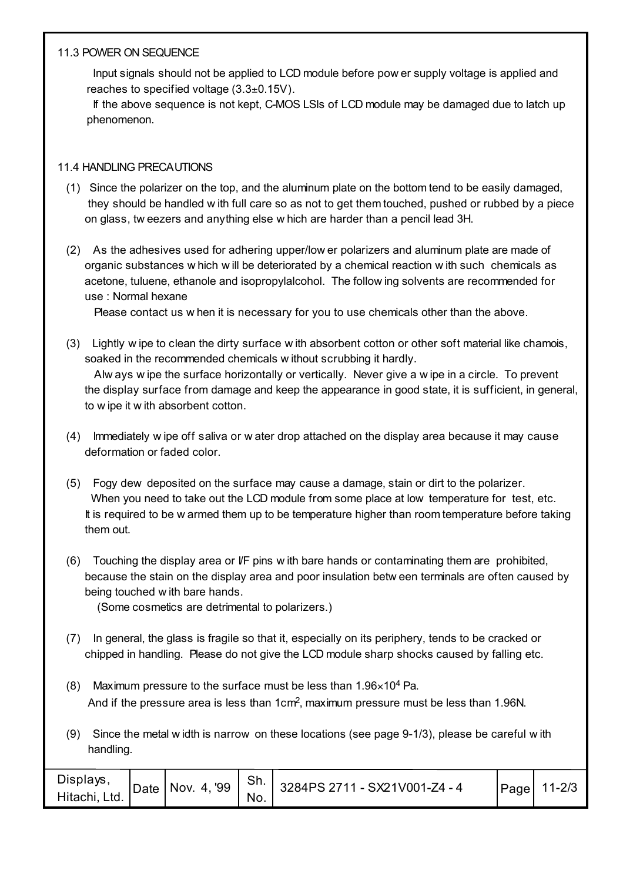#### 11.3 POWER ON SEQUENCE

 Input signals should not be applied to LCD module before pow er supply voltage is applied and reaches to specified voltage (3.3±0.15V).

If the above sequence is not kept, C-MOS LSIs of LCD module may be damaged due to latch up phenomenon.

#### 11.4 HANDLING PRECAUTIONS

- (1) Since the polarizer on the top, and the aluminum plate on the bottom tend to be easily damaged, they should be handled w ith full care so as not to get them touched, pushed or rubbed by a piece on glass, tw eezers and anything else w hich are harder than a pencil lead 3H.
- (2) As the adhesives used for adhering upper/low er polarizers and aluminum plate are made of organic substances w hich w ill be deteriorated by a chemical reaction w ith such chemicals as acetone, tuluene, ethanole and isopropylalcohol. The follow ing solvents are recommended for use : Normal hexane

Please contact us w hen it is necessary for you to use chemicals other than the above.

- (3) Lightly w ipe to clean the dirty surface w ith absorbent cotton or other soft material like chamois, soaked in the recommended chemicals w ithout scrubbing it hardly. Alw ays w ipe the surface horizontally or vertically. Never give a w ipe in a circle. To prevent the display surface from damage and keep the appearance in good state, it is sufficient, in general, to w ipe it w ith absorbent cotton.
- (4) Immediately w ipe off saliva or w ater drop attached on the display area because it may cause deformation or faded color.
- (5) Fogy dew deposited on the surface may cause a damage, stain or dirt to the polarizer. When you need to take out the LCD module from some place at low temperature for test, etc. It is required to be w armed them up to be temperature higher than room temperature before taking them out.
- (6) Touching the display area or I/F pins w ith bare hands or contaminating them are prohibited, because the stain on the display area and poor insulation betw een terminals are often caused by being touched w ith bare hands.

(Some cosmetics are detrimental to polarizers.)

- (7) In general, the glass is fragile so that it, especially on its periphery, tends to be cracked or chipped in handling. Please do not give the LCD module sharp shocks caused by falling etc.
- (8) Maximum pressure to the surface must be less than  $1.96 \times 10^4$  Pa. And if the pressure area is less than 1cm<sup>2</sup>, maximum pressure must be less than 1.96N.
- (9) Since the metal w idth is narrow on these locations (see page 9-1/3), please be careful w ith handling.

| Displays.<br>Date   Nov. 4, '99<br>Hitachi, Ltd. | Sh.<br>No. | 3284PS 2711 - SX21V001-Z4 - 4 | Page | $11 - 2/3$ |
|--------------------------------------------------|------------|-------------------------------|------|------------|
|--------------------------------------------------|------------|-------------------------------|------|------------|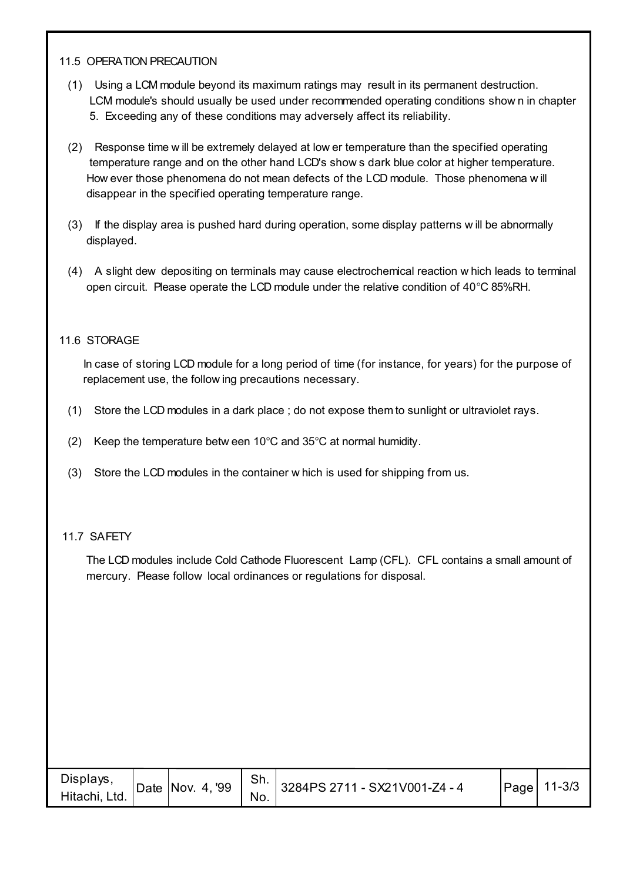#### 11.5 OPERATION PRECAUTION

- (1) Using a LCM module beyond its maximum ratings may result in its permanent destruction. LCM module's should usually be used under recommended operating conditions show n in chapter 5. Exceeding any of these conditions may adversely affect its reliability.
- (2) Response time w ill be extremely delayed at low er temperature than the specified operating temperature range and on the other hand LCD's show s dark blue color at higher temperature. How ever those phenomena do not mean defects of the LCD module. Those phenomena w ill disappear in the specified operating temperature range.
- (3) If the display area is pushed hard during operation, some display patterns w ill be abnormally displayed.
- (4) A slight dew depositing on terminals may cause electrochemical reaction w hich leads to terminal open circuit. Please operate the LCD module under the relative condition of 40°C 85%RH.

#### 11.6 STORAGE

 In case of storing LCD module for a long period of time (for instance, for years) for the purpose of replacement use, the follow ing precautions necessary.

- (1) Store the LCD modules in a dark place ; do not expose them to sunlight or ultraviolet rays.
- (2) Keep the temperature betw een 10°C and 35°C at normal humidity.
- (3) Store the LCD modules in the container w hich is used for shipping from us.

#### 11.7 SAFETY

 The LCD modules include Cold Cathode Fluorescent Lamp (CFL). CFL contains a small amount of mercury. Please follow local ordinances or regulations for disposal.

| Displays,<br>Hitachi, Ltd. | Date Nov. $4,99$ | Sh.<br>No. | $13284PS 2711 - SX21V001-Z4 - 4$ | Page | $11 - 3/3$ |
|----------------------------|------------------|------------|----------------------------------|------|------------|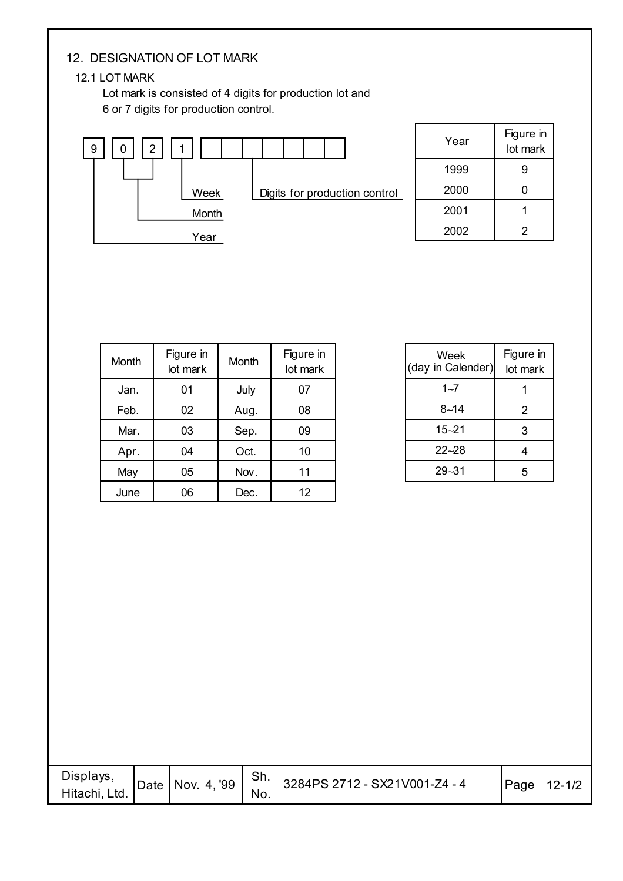#### 12. DESIGNATION OF LOT MARK

#### 12.1 LOT MARK

 Lot mark is consisted of 4 digits for production lot and 6 or 7 digits for production control.



| Year | Figure in<br>lot mark |
|------|-----------------------|
| 1999 | g                     |
| 2000 |                       |
| 2001 |                       |
| 2002 | 2                     |

| Month | Figure in<br>Month<br>lot mark |            | Figure in<br>lot mark |  |  |
|-------|--------------------------------|------------|-----------------------|--|--|
| Jan.  | 01                             | July       | 07                    |  |  |
| Feb.  | 02                             | Aug.<br>08 |                       |  |  |
| Mar.  | 03                             | Sep.       | 09                    |  |  |
| Apr.  | 04                             | Oct.       | 10                    |  |  |
| May   | 05                             | Nov.       | 11                    |  |  |
| June  | 06                             | Dec.       | 12                    |  |  |

| Week<br>(day in Calender) | Figure in<br>lot mark |
|---------------------------|-----------------------|
| $1 - 7$                   |                       |
| $8 - 14$                  | 2                     |
| $15 - 21$                 | 3                     |
| $22 - 28$                 | 4                     |
| $29 - 31$                 | 5                     |
|                           |                       |

| Displays,<br>Hitachi, Ltd. |  | No. | Date Nov. 4, '99   Sh. 3284PS 2712 - SX21V001-Z4 - 4 | Page | $12 - 1/2$ |
|----------------------------|--|-----|------------------------------------------------------|------|------------|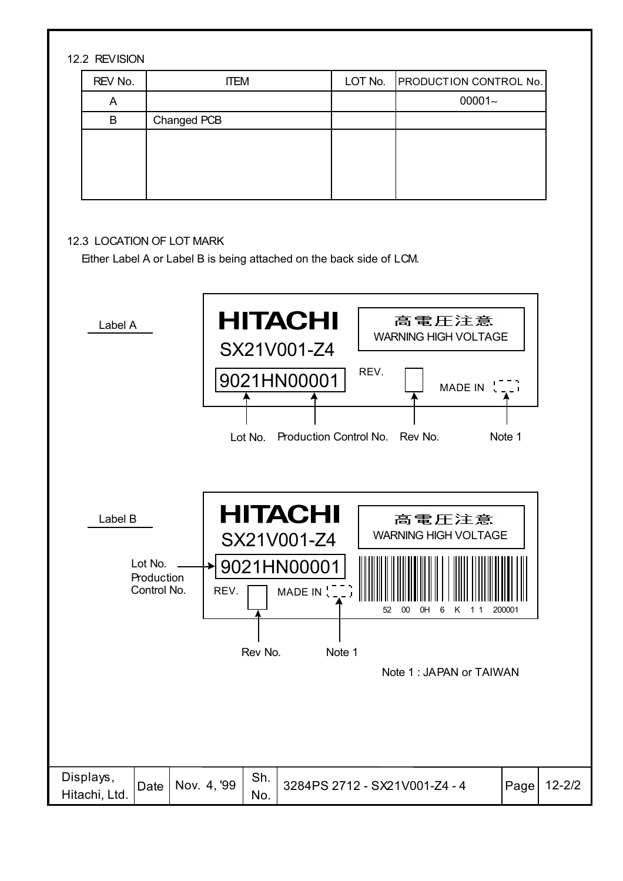#### 12.2 REVISION

| REV No. | <b>ITEM</b> | LOT No. PRODUCTION CONTROL No. |
|---------|-------------|--------------------------------|
| A       |             | $00001 -$                      |
| B       | Changed PCB |                                |
|         |             |                                |
|         |             |                                |
|         |             |                                |
|         |             |                                |

#### 12.3 LOCATION OF LOT MARK

Either Label A or Label B is being attached on the back side of LCM.